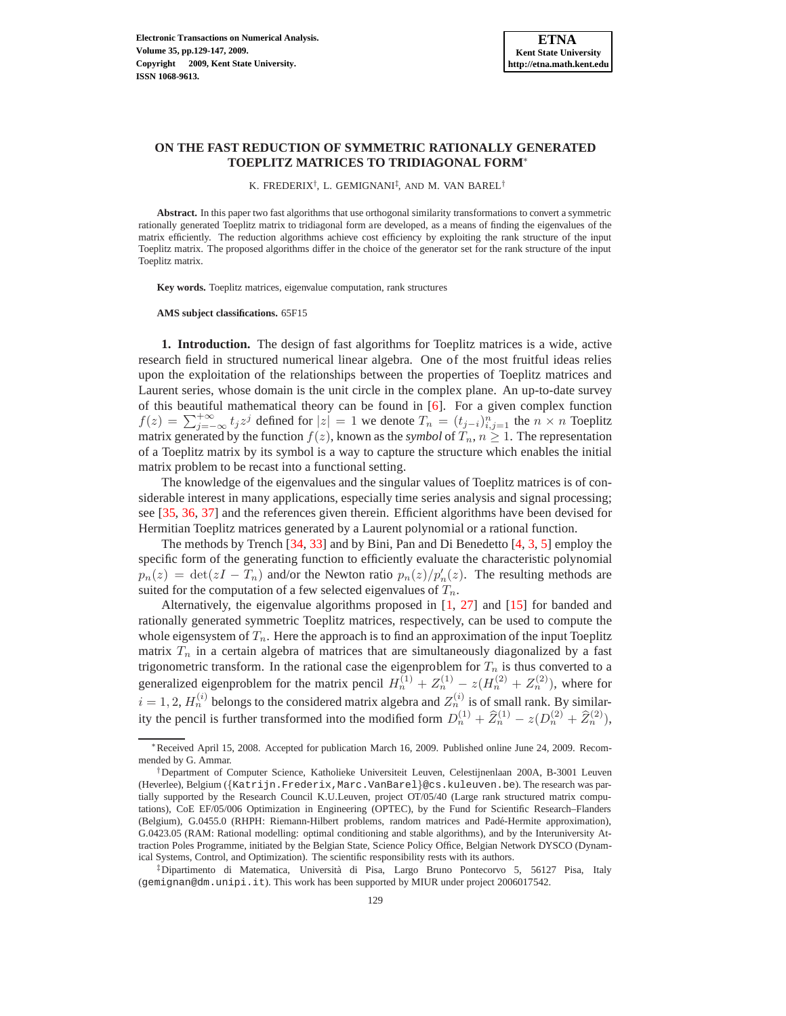# **ON THE FAST REDUCTION OF SYMMETRIC RATIONALLY GENERATED TOEPLITZ MATRICES TO TRIDIAGONAL FORM**<sup>∗</sup>

K. FREDERIX<sup>†</sup>, L. GEMIGNANI<sup>‡</sup>, AND M. VAN BAREL<sup>†</sup>

**Abstract.** In this paper two fast algorithms that use orthogonal similarity transformations to convert a symmetric rationally generated Toeplitz matrix to tridiagonal form are developed, as a means of finding the eigenvalues of the matrix efficiently. The reduction algorithms achieve cost efficiency by exploiting the rank structure of the input Toeplitz matrix. The proposed algorithms differ in the choice of the generator set for the rank structure of the input Toeplitz matrix.

**Key words.** Toeplitz matrices, eigenvalue computation, rank structures

**AMS subject classifications.** 65F15

**1. Introduction.** The design of fast algorithms for Toeplitz matrices is a wide, active research field in structured numerical linear algebra. One of the most fruitful ideas relies upon the exploitation of the relationships between the properties of Toeplitz matrices and Laurent series, whose domain is the unit circle in the complex plane. An up-to-date survey of this beautiful mathematical theory can be found in  $[6]$ . For a given complex function  $f(z) = \sum_{j=-\infty}^{+\infty} t_j z^j$  defined for  $|z|=1$  we denote  $T_n = (t_{j-i})_{i,j=1}^n$  the  $n \times n$  Toeplitz matrix generated by the function  $f(z)$ , known as the *symbol* of  $T_n$ ,  $n \geq 1$ . The representation of a Toeplitz matrix by its symbol is a way to capture the structure which enables the initial matrix problem to be recast into a functional setting.

The knowledge of the eigenvalues and the singular values of Toeplitz matrices is of considerable interest in many applications, especially time series analysis and signal processing; see [\[35,](#page-17-0) [36,](#page-17-1) [37\]](#page-17-2) and the references given therein. Efficient algorithms have been devised for Hermitian Toeplitz matrices generated by a Laurent polynomial or a rational function.

The methods by Trench [\[34,](#page-17-3) [33\]](#page-17-4) and by Bini, Pan and Di Benedetto [\[4,](#page-16-1) [3,](#page-16-2) [5\]](#page-16-3) employ the specific form of the generating function to efficiently evaluate the characteristic polynomial  $p_n(z) = \det(zI - T_n)$  and/or the Newton ratio  $p_n(z)/p'_n(z)$ . The resulting methods are suited for the computation of a few selected eigenvalues of  $T_n$ .

Alternatively, the eigenvalue algorithms proposed in [\[1,](#page-16-4) [27\]](#page-17-5) and [\[15\]](#page-17-6) for banded and rationally generated symmetric Toeplitz matrices, respectively, can be used to compute the whole eigensystem of  $T_n$ . Here the approach is to find an approximation of the input Toeplitz matrix  $T_n$  in a certain algebra of matrices that are simultaneously diagonalized by a fast trigonometric transform. In the rational case the eigenproblem for  $T_n$  is thus converted to a generalized eigenproblem for the matrix pencil  $H_n^{(1)} + Z_n^{(1)} - z(H_n^{(2)} + Z_n^{(2)})$ , where for  $i = 1, 2, H_n^{(i)}$  belongs to the considered matrix algebra and  $Z_n^{(i)}$  is of small rank. By similarity the pencil is further transformed into the modified form  $D_n^{(1)} + \hat{Z}_n^{(1)} - z(D_n^{(2)} + \hat{Z}_n^{(2)}),$ 

<sup>∗</sup>Received April 15, 2008. Accepted for publication March 16, 2009. Published online June 24, 2009. Recommended by G. Ammar.

<sup>†</sup>Department of Computer Science, Katholieke Universiteit Leuven, Celestijnenlaan 200A, B-3001 Leuven (Heverlee), Belgium ({Katrijn.Frederix,Marc.VanBarel}@cs.kuleuven.be). The research was partially supported by the Research Council K.U.Leuven, project OT/05/40 (Large rank structured matrix computations), CoE EF/05/006 Optimization in Engineering (OPTEC), by the Fund for Scientific Research–Flanders (Belgium), G.0455.0 (RHPH: Riemann-Hilbert problems, random matrices and Padé-Hermite approximation), G.0423.05 (RAM: Rational modelling: optimal conditioning and stable algorithms), and by the Interuniversity Attraction Poles Programme, initiated by the Belgian State, Science Policy Office, Belgian Network DYSCO (Dynamical Systems, Control, and Optimization). The scientific responsibility rests with its authors.

<sup>‡</sup>Dipartimento di Matematica, Universit`a di Pisa, Largo Bruno Pontecorvo 5, 56127 Pisa, Italy (gemignan@dm.unipi.it). This work has been supported by MIUR under project 2006017542.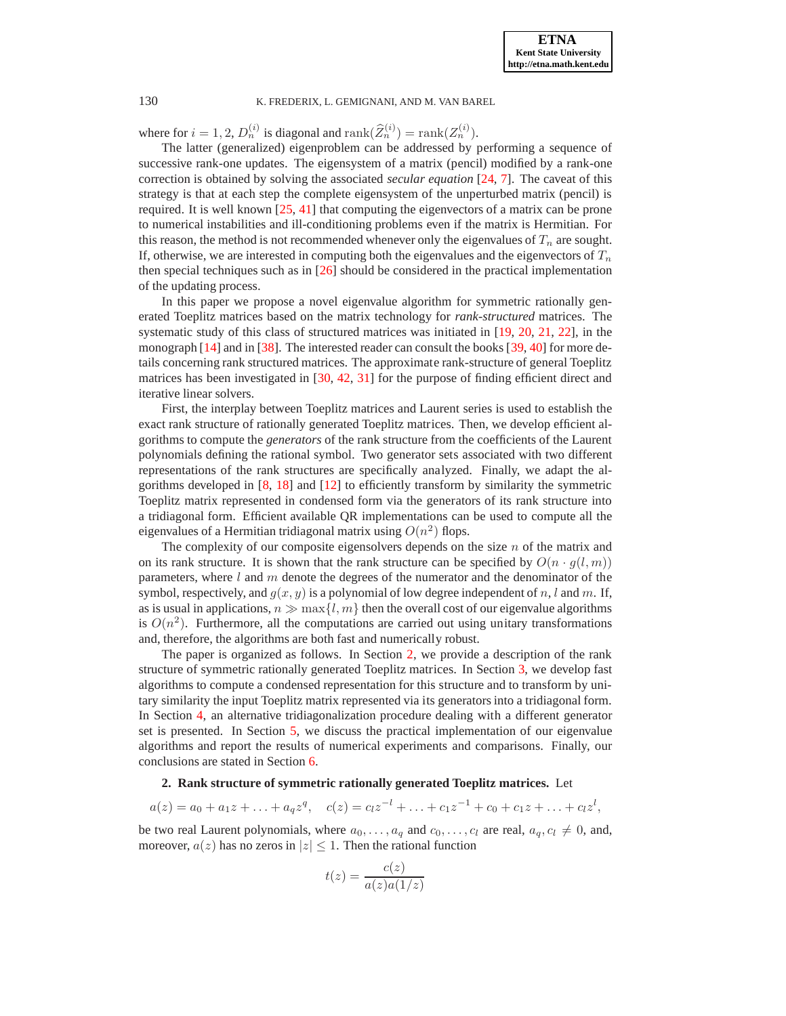where for  $i = 1, 2, D_n^{(i)}$  is diagonal and  $\text{rank}(\widehat{Z}_n^{(i)}) = \text{rank}(Z_n^{(i)}).$ 

The latter (generalized) eigenproblem can be addressed by performing a sequence of successive rank-one updates. The eigensystem of a matrix (pencil) modified by a rank-one correction is obtained by solving the associated *secular equation* [\[24,](#page-17-7) [7\]](#page-16-5). The caveat of this strategy is that at each step the complete eigensystem of the unperturbed matrix (pencil) is required. It is well known [\[25,](#page-17-8) [41\]](#page-18-0) that computing the eigenvectors of a matrix can be prone to numerical instabilities and ill-conditioning problems even if the matrix is Hermitian. For this reason, the method is not recommended whenever only the eigenvalues of  $T_n$  are sought. If, otherwise, we are interested in computing both the eigenvalues and the eigenvectors of  $T_n$ then special techniques such as in [\[26\]](#page-17-9) should be considered in the practical implementation of the updating process.

In this paper we propose a novel eigenvalue algorithm for symmetric rationally generated Toeplitz matrices based on the matrix technology for *rank-structured* matrices. The systematic study of this class of structured matrices was initiated in [\[19,](#page-17-10) [20,](#page-17-11) [21,](#page-17-12) [22\]](#page-17-13), in the monograph [\[14\]](#page-17-14) and in [\[38\]](#page-17-15). The interested reader can consult the books [\[39,](#page-17-16) [40\]](#page-17-17) for more details concerning rank structured matrices. The approximate rank-structure of general Toeplitz matrices has been investigated in  $[30, 42, 31]$  $[30, 42, 31]$  $[30, 42, 31]$  $[30, 42, 31]$  $[30, 42, 31]$  for the purpose of finding efficient direct and iterative linear solvers.

First, the interplay between Toeplitz matrices and Laurent series is used to establish the exact rank structure of rationally generated Toeplitz matrices. Then, we develop efficient algorithms to compute the *generators* of the rank structure from the coefficients of the Laurent polynomials defining the rational symbol. Two generator sets associated with two different representations of the rank structures are specifically analyzed. Finally, we adapt the algorithms developed in [\[8,](#page-17-20) [18\]](#page-17-21) and [\[12\]](#page-17-22) to efficiently transform by similarity the symmetric Toeplitz matrix represented in condensed form via the generators of its rank structure into a tridiagonal form. Efficient available QR implementations can be used to compute all the eigenvalues of a Hermitian tridiagonal matrix using  $O(n^2)$  flops.

The complexity of our composite eigensolvers depends on the size  $n$  of the matrix and on its rank structure. It is shown that the rank structure can be specified by  $O(n \cdot g(l, m))$ parameters, where  $l$  and  $m$  denote the degrees of the numerator and the denominator of the symbol, respectively, and  $g(x, y)$  is a polynomial of low degree independent of n, l and m. If, as is usual in applications,  $n \gg \max\{l, m\}$  then the overall cost of our eigenvalue algorithms is  $O(n^2)$ . Furthermore, all the computations are carried out using unitary transformations and, therefore, the algorithms are both fast and numerically robust.

The paper is organized as follows. In Section [2,](#page-1-0) we provide a description of the rank structure of symmetric rationally generated Toeplitz matrices. In Section [3,](#page-3-0) we develop fast algorithms to compute a condensed representation for this structure and to transform by unitary similarity the input Toeplitz matrix represented via its generators into a tridiagonal form. In Section [4,](#page-8-0) an alternative tridiagonalization procedure dealing with a different generator set is presented. In Section [5,](#page-13-0) we discuss the practical implementation of our eigenvalue algorithms and report the results of numerical experiments and comparisons. Finally, our conclusions are stated in Section [6.](#page-15-0)

# **2. Rank structure of symmetric rationally generated Toeplitz matrices.** Let

<span id="page-1-0"></span>
$$
a(z) = a_0 + a_1 z + \ldots + a_q z^q, \quad c(z) = c_l z^{-l} + \ldots + c_1 z^{-1} + c_0 + c_1 z + \ldots + c_l z^l,
$$

be two real Laurent polynomials, where  $a_0, \ldots, a_q$  and  $c_0, \ldots, c_l$  are real,  $a_q, c_l \neq 0$ , and, moreover,  $a(z)$  has no zeros in  $|z| \leq 1$ . Then the rational function

$$
t(z) = \frac{c(z)}{a(z)a(1/z)}
$$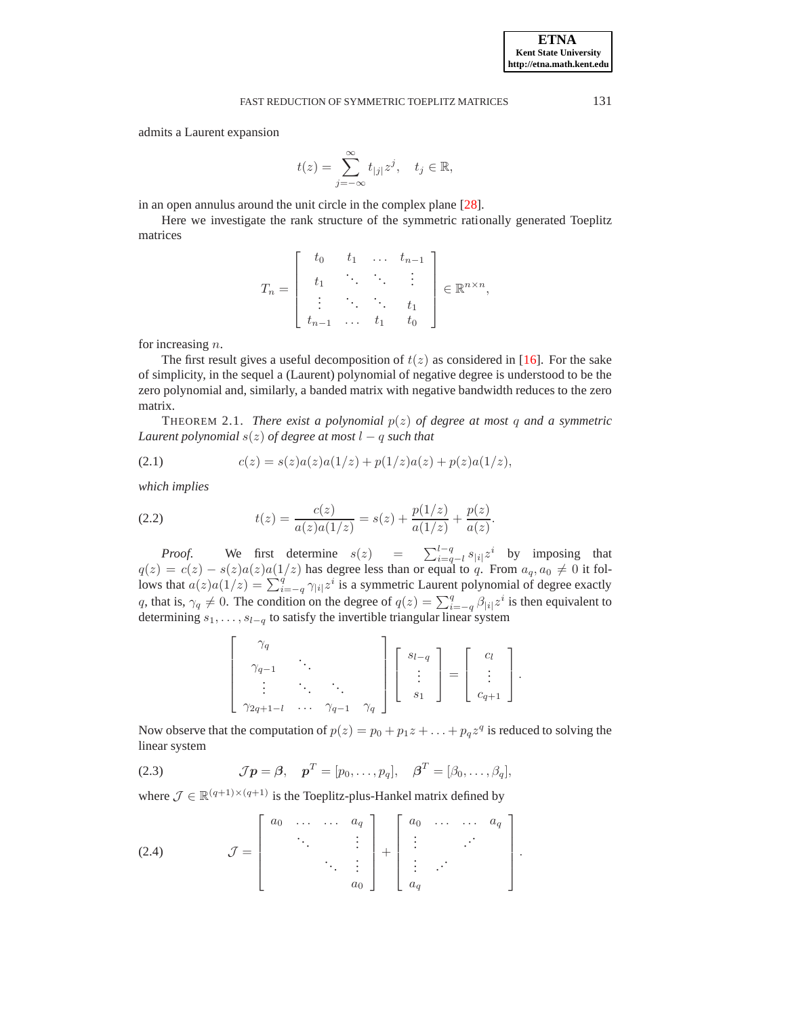admits a Laurent expansion

$$
t(z) = \sum_{j=-\infty}^{\infty} t_{|j|} z^j, \quad t_j \in \mathbb{R},
$$

in an open annulus around the unit circle in the complex plane [\[28\]](#page-17-23).

Here we investigate the rank structure of the symmetric rationally generated Toeplitz matrices

$$
T_n = \left[\begin{array}{cccc} t_0 & t_1 & \dots & t_{n-1} \\ t_1 & \ddots & \ddots & \vdots \\ \vdots & \ddots & \ddots & t_1 \\ t_{n-1} & \dots & t_1 & t_0 \end{array}\right] \in \mathbb{R}^{n \times n},
$$

for increasing n.

The first result gives a useful decomposition of  $t(z)$  as considered in [\[16\]](#page-17-24). For the sake of simplicity, in the sequel a (Laurent) polynomial of negative degree is understood to be the zero polynomial and, similarly, a banded matrix with negative bandwidth reduces to the zero matrix.

<span id="page-2-2"></span>**THEOREM 2.1.** *There exist a polynomial*  $p(z)$  *of degree at most* q *and a symmetric Laurent polynomial*  $s(z)$  *of degree at most*  $l - q$  *such that* 

(2.1) 
$$
c(z) = s(z)a(z)a(1/z) + p(1/z)a(z) + p(z)a(1/z),
$$

*which implies*

<span id="page-2-1"></span>(2.2) 
$$
t(z) = \frac{c(z)}{a(z)a(1/z)} = s(z) + \frac{p(1/z)}{a(1/z)} + \frac{p(z)}{a(z)}.
$$

*Proof.* We first determine  $s(z)$  =  $\sum_{i=q-l}^{l-q} s_{|i|} z^i$  by imposing that  $q(z) = c(z) - s(z)a(z)a(1/z)$  has degree less than or equal to q. From  $a_q, a_0 \neq 0$  it follows that  $a(z)a(1/z) = \sum_{i=-q}^{q} \gamma_{|i|} z^i$  is a symmetric Laurent polynomial of degree exactly q, that is,  $\gamma_q \neq 0$ . The condition on the degree of  $q(z) = \sum_{i=-q}^{q} \beta_{|i|} z^i$  is then equivalent to determining  $s_1, \ldots, s_{l-q}$  to satisfy the invertible triangular linear system

$$
\left[\begin{array}{ccc} \gamma_q \\ \gamma_{q-1} & \cdot \\ \vdots & \cdot \\ \gamma_{2q+1-l} & \cdots & \gamma_{q-1} & \gamma_q \end{array}\right] \left[\begin{array}{c} s_{l-q} \\ \vdots \\ s_1 \end{array}\right] = \left[\begin{array}{c} c_l \\ \vdots \\ c_{q+1} \end{array}\right].
$$

Now observe that the computation of  $p(z) = p_0 + p_1 z + \ldots + p_q z^q$  is reduced to solving the linear system

<span id="page-2-0"></span>(2.3) 
$$
\mathcal{J}\mathbf{p} = \boldsymbol{\beta}, \quad \mathbf{p}^T = [p_0, \dots, p_q], \quad \boldsymbol{\beta}^T = [\beta_0, \dots, \beta_q],
$$

where  $\mathcal{J} \in \mathbb{R}^{(q+1)\times(q+1)}$  is the Toeplitz-plus-Hankel matrix defined by

<span id="page-2-3"></span>
$$
(2.4) \quad \mathcal{J} = \left[ \begin{array}{cccc} a_0 & \dots & \dots & a_q \\ & \ddots & & \vdots \\ & & \ddots & \vdots \\ & & & a_0 \end{array} \right] + \left[ \begin{array}{cccc} a_0 & \dots & \dots & a_q \\ \vdots & & \ddots & \\ a_q & & & \end{array} \right].
$$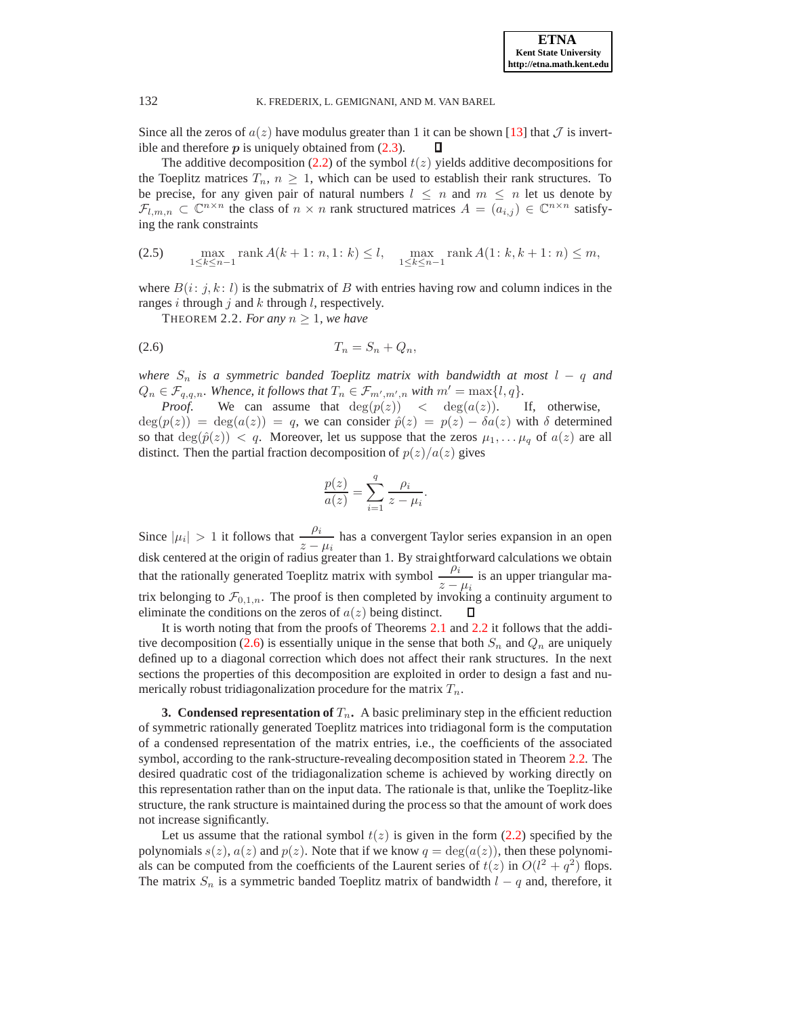Since all the zeros of  $a(z)$  have modulus greater than 1 it can be shown [\[13\]](#page-17-25) that  $\mathcal J$  is invertible and therefore  $p$  is uniquely obtained from  $(2.3)$ . D

The additive decomposition [\(2.2\)](#page-2-1) of the symbol  $t(z)$  yields additive decompositions for the Toeplitz matrices  $T_n$ ,  $n \geq 1$ , which can be used to establish their rank structures. To be precise, for any given pair of natural numbers  $l \leq n$  and  $m \leq n$  let us denote by  $\mathcal{F}_{l,m,n} \subset \mathbb{C}^{n \times n}$  the class of  $n \times n$  rank structured matrices  $A = (a_{i,j}) \in \mathbb{C}^{n \times n}$  satisfying the rank constraints

(2.5) 
$$
\max_{1 \le k \le n-1} \text{rank } A(k+1; n, 1; k) \le l, \quad \max_{1 \le k \le n-1} \text{rank } A(1; k, k+1; n) \le m,
$$

<span id="page-3-1"></span>where  $B(i: j, k: l)$  is the submatrix of B with entries having row and column indices in the ranges i through j and  $k$  through  $l$ , respectively.

<span id="page-3-2"></span>THEOREM 2.2. For any  $n \geq 1$ , we have

$$
(2.6) \t\t T_n = S_n + Q_n,
$$

*where*  $S_n$  *is a symmetric banded Toeplitz matrix with bandwidth at most*  $l - q$  *and*  $Q_n \in \mathcal{F}_{q,q,n}$ . Whence, it follows that  $T_n \in \mathcal{F}_{m',m',n}$  with  $m' = \max\{l,q\}$ .

*Proof.* We can assume that  $deg(p(z)) < deg(a(z))$ . If, otherwise,  $deg(p(z)) = deg(a(z)) = q$ , we can consider  $\hat{p}(z) = p(z) - \delta a(z)$  with  $\delta$  determined so that  $deg(\hat{p}(z)) < q$ . Moreover, let us suppose that the zeros  $\mu_1, \ldots, \mu_q$  of  $a(z)$  are all distinct. Then the partial fraction decomposition of  $p(z)/a(z)$  gives

$$
\frac{p(z)}{a(z)} = \sum_{i=1}^{q} \frac{\rho_i}{z - \mu_i}.
$$

Since  $|\mu_i| > 1$  it follows that  $\frac{\rho_i}{z - \mu_i}$  has a convergent Taylor series expansion in an open disk centered at the origin of radius greater than 1. By straightforward calculations we obtain that the rationally generated Toeplitz matrix with symbol  $\frac{\rho_i}{z - \mu_i}$  is an upper triangular matrix belonging to  $\mathcal{F}_{0,1,n}$ . The proof is then completed by invoking a continuity argument to eliminate the conditions on the zeros of  $a(z)$  being distinct.

It is worth noting that from the proofs of Theorems [2.1](#page-2-2) and [2.2](#page-3-1) it follows that the addi-tive decomposition [\(2.6\)](#page-3-2) is essentially unique in the sense that both  $S_n$  and  $Q_n$  are uniquely defined up to a diagonal correction which does not affect their rank structures. In the next sections the properties of this decomposition are exploited in order to design a fast and numerically robust tridiagonalization procedure for the matrix  $T_n$ .

<span id="page-3-0"></span>**3. Condensed representation of**  $T_n$ **.** A basic preliminary step in the efficient reduction of symmetric rationally generated Toeplitz matrices into tridiagonal form is the computation of a condensed representation of the matrix entries, i.e., the coefficients of the associated symbol, according to the rank-structure-revealing decomposition stated in Theorem [2.2.](#page-3-1) The desired quadratic cost of the tridiagonalization scheme is achieved by working directly on this representation rather than on the input data. The rationale is that, unlike the Toeplitz-like structure, the rank structure is maintained during the process so that the amount of work does not increase significantly.

Let us assume that the rational symbol  $t(z)$  is given in the form [\(2.2\)](#page-2-1) specified by the polynomials  $s(z)$ ,  $a(z)$  and  $p(z)$ . Note that if we know  $q = \deg(a(z))$ , then these polynomials can be computed from the coefficients of the Laurent series of  $t(z)$  in  $O(l^2 + q^2)$  flops. The matrix  $S_n$  is a symmetric banded Toeplitz matrix of bandwidth  $l - q$  and, therefore, it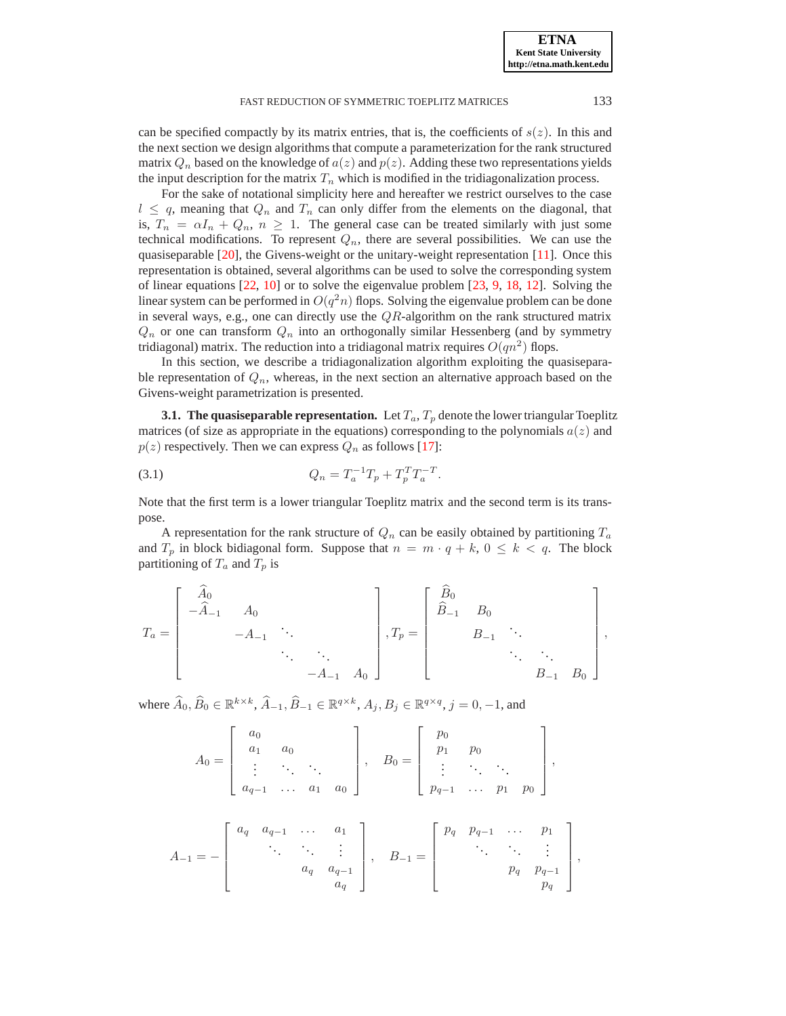**ETNA Kent State University http://etna.math.kent.edu**

## FAST REDUCTION OF SYMMETRIC TOEPLITZ MATRICES 133

can be specified compactly by its matrix entries, that is, the coefficients of  $s(z)$ . In this and the next section we design algorithms that compute a parameterization for the rank structured matrix  $Q_n$  based on the knowledge of  $a(z)$  and  $p(z)$ . Adding these two representations yields the input description for the matrix  $T_n$  which is modified in the tridiagonalization process.

For the sake of notational simplicity here and hereafter we restrict ourselves to the case  $l \leq q$ , meaning that  $Q_n$  and  $T_n$  can only differ from the elements on the diagonal, that is,  $T_n = \alpha I_n + Q_n$ ,  $n \geq 1$ . The general case can be treated similarly with just some technical modifications. To represent  $Q_n$ , there are several possibilities. We can use the quasiseparable [\[20\]](#page-17-11), the Givens-weight or the unitary-weight representation [\[11\]](#page-17-26). Once this representation is obtained, several algorithms can be used to solve the corresponding system of linear equations [\[22,](#page-17-13) [10\]](#page-17-27) or to solve the eigenvalue problem [\[23,](#page-17-28) [9,](#page-17-29) [18,](#page-17-21) [12\]](#page-17-22). Solving the linear system can be performed in  $O(q^2n)$  flops. Solving the eigenvalue problem can be done in several ways, e.g., one can directly use the  $QR$ -algorithm on the rank structured matrix  $Q_n$  or one can transform  $Q_n$  into an orthogonally similar Hessenberg (and by symmetry tridiagonal) matrix. The reduction into a tridiagonal matrix requires  $O(qn^2)$  flops.

In this section, we describe a tridiagonalization algorithm exploiting the quasiseparable representation of  $Q_n$ , whereas, in the next section an alternative approach based on the Givens-weight parametrization is presented.

**3.1. The quasiseparable representation.** Let  $T_a$ ,  $T_p$  denote the lower triangular Toeplitz matrices (of size as appropriate in the equations) corresponding to the polynomials  $a(z)$  and  $p(z)$  respectively. Then we can express  $Q_n$  as follows [\[17\]](#page-17-30):

<span id="page-4-0"></span>(3.1) 
$$
Q_n = T_a^{-1} T_p + T_p^T T_a^{-T}.
$$

Note that the first term is a lower triangular Toeplitz matrix and the second term is its transpose.

A representation for the rank structure of  $Q_n$  can be easily obtained by partitioning  $T_a$ and  $T_p$  in block bidiagonal form. Suppose that  $n = m \cdot q + k$ ,  $0 \le k < q$ . The block partitioning of  $T_a$  and  $T_p$  is

$$
T_a = \begin{bmatrix} \widehat{A}_0 & & & & \\ -\widehat{A}_{-1} & A_0 & & & \\ & -A_{-1} & \ddots & & \\ & & \ddots & \ddots & \\ & & & -A_{-1} & A_0 \end{bmatrix}, T_p = \begin{bmatrix} \widehat{B}_0 & & & & \\ \widehat{B}_{-1} & B_0 & & & \\ & B_{-1} & \ddots & & \\ & & \ddots & \ddots & \\ & & & B_{-1} & B_0 \end{bmatrix},
$$

where  $\widehat{A}_0$ ,  $\widehat{B}_0 \in \mathbb{R}^{k \times k}$ ,  $\widehat{A}_{-1}$ ,  $\widehat{B}_{-1} \in \mathbb{R}^{q \times k}$ ,  $A_j$ ,  $B_j \in \mathbb{R}^{q \times q}$ ,  $j = 0, -1$ , and

$$
A_0 = \left[ \begin{array}{cccc} a_0 & & & \\ a_1 & a_0 & & \\ \vdots & \ddots & \ddots & \\ a_{q-1} & \dots & a_1 & a_0 \end{array} \right], \quad B_0 = \left[ \begin{array}{cccc} p_0 & & & \\ p_1 & p_0 & & \\ \vdots & \ddots & \ddots & \\ p_{q-1} & \dots & p_1 & p_0 \end{array} \right],
$$

$$
A_{-1} = -\begin{bmatrix} a_q & a_{q-1} & \cdots & a_1 \\ & \ddots & \ddots & \vdots \\ & & a_q & a_{q-1} \\ & & & a_q \end{bmatrix}, \quad B_{-1} = \begin{bmatrix} p_q & p_{q-1} & \cdots & p_1 \\ & \ddots & \ddots & \vdots \\ & & p_q & p_{q-1} \\ & & & p_q \end{bmatrix}
$$

,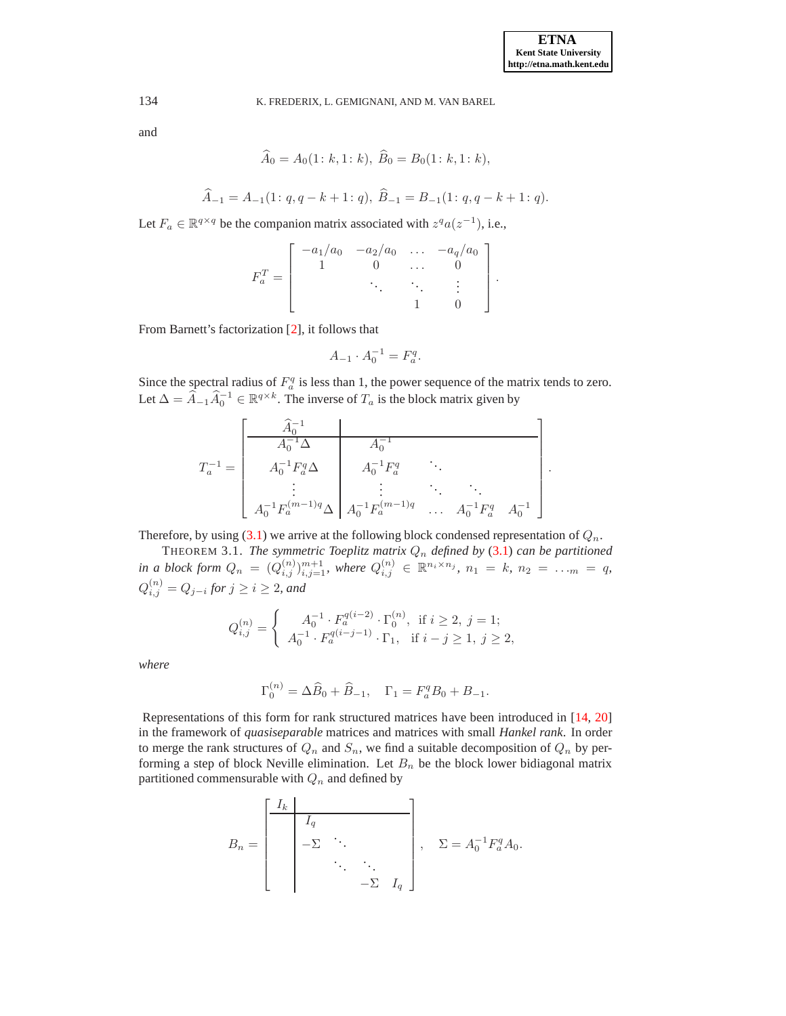.

134 K. FREDERIX, L. GEMIGNANI, AND M. VAN BAREL

and

$$
A_0 = A_0(1: k, 1: k), B_0 = B_0(1: k, 1: k),
$$

$$
\widehat{A}_{-1} = A_{-1}(1; q, q - k + 1; q), \ \widehat{B}_{-1} = B_{-1}(1; q, q - k + 1; q).
$$

Let  $F_a \in \mathbb{R}^{q \times q}$  be the companion matrix associated with  $z^q a(z^{-1})$ , i.e.,

$$
F_a^T = \begin{bmatrix} -a_1/a_0 & -a_2/a_0 & \dots & -a_q/a_0 \\ 1 & 0 & \dots & 0 \\ & & \ddots & \ddots & \vdots \\ & & & 1 & 0 \end{bmatrix}.
$$

From Barnett's factorization [\[2\]](#page-16-6), it follows that

$$
A_{-1} \cdot A_0^{-1} = F_a^q.
$$

Since the spectral radius of  $F_a^q$  is less than 1, the power sequence of the matrix tends to zero. Let  $\Delta = \hat{A}_{-1}\hat{A}_0^{-1} \in \mathbb{R}^{q \times k}$ . The inverse of  $T_a$  is the block matrix given by

$$
T_a^{-1} = \begin{bmatrix} \begin{array}{c|c} \hat{A}_0^{-1} & & \\ \hline A_0^{-1} \Delta & A_0^{-1} & \\ A_0^{-1} F_a^q \Delta & A_0^{-1} F_a^q & \ddots \\ \vdots & \vdots & \ddots & \ddots \\ A_0^{-1} F_a^{(m-1)q} \Delta & A_0^{-1} F_a^{(m-1)q} & \dots & A_0^{-1} F_a^q & A_0^{-1} \end{array} \end{bmatrix}
$$

Therefore, by using [\(3.1\)](#page-4-0) we arrive at the following block condensed representation of  $Q_n$ .

THEOREM 3.1. *The symmetric Toeplitz matrix* Q<sup>n</sup> *defined by* [\(3.1\)](#page-4-0) *can be partitioned in a block form*  $Q_n = (Q_{i,j}^{(n)})_{i,j=1}^{m+1}$ , where  $Q_{i,j}^{(n)} \in \mathbb{R}^{n_i \times n_j}$ ,  $n_1 = k$ ,  $n_2 = \ldots_m = q$ ,  $Q_{i,j}^{(n)} = Q_{j-i}$  for  $j \geq i \geq 2$ *, and* 

$$
Q_{i,j}^{(n)} = \begin{cases} A_0^{-1} \cdot F_a^{q(i-2)} \cdot \Gamma_0^{(n)}, & \text{if } i \geq 2, j = 1; \\ A_0^{-1} \cdot F_a^{q(i-j-1)} \cdot \Gamma_1, & \text{if } i - j \geq 1, j \geq 2, \end{cases}
$$

*where*

$$
\Gamma_0^{(n)} = \Delta \widehat{B}_0 + \widehat{B}_{-1}, \quad \Gamma_1 = F_a^q B_0 + B_{-1}.
$$

Representations of this form for rank structured matrices have been introduced in [\[14,](#page-17-14) [20\]](#page-17-11) in the framework of *quasiseparable* matrices and matrices with small *Hankel rank*. In order to merge the rank structures of  $Q_n$  and  $S_n$ , we find a suitable decomposition of  $Q_n$  by performing a step of block Neville elimination. Let  $B_n$  be the block lower bidiagonal matrix partitioned commensurable with  $Q_n$  and defined by

$$
B_n = \begin{bmatrix} I_k & & & \\ & I_q & & \\ & -\Sigma & \ddots & \\ & & \ddots & \ddots \\ & & & -\Sigma & I_q \end{bmatrix}, \quad \Sigma = A_0^{-1} F_a^q A_0.
$$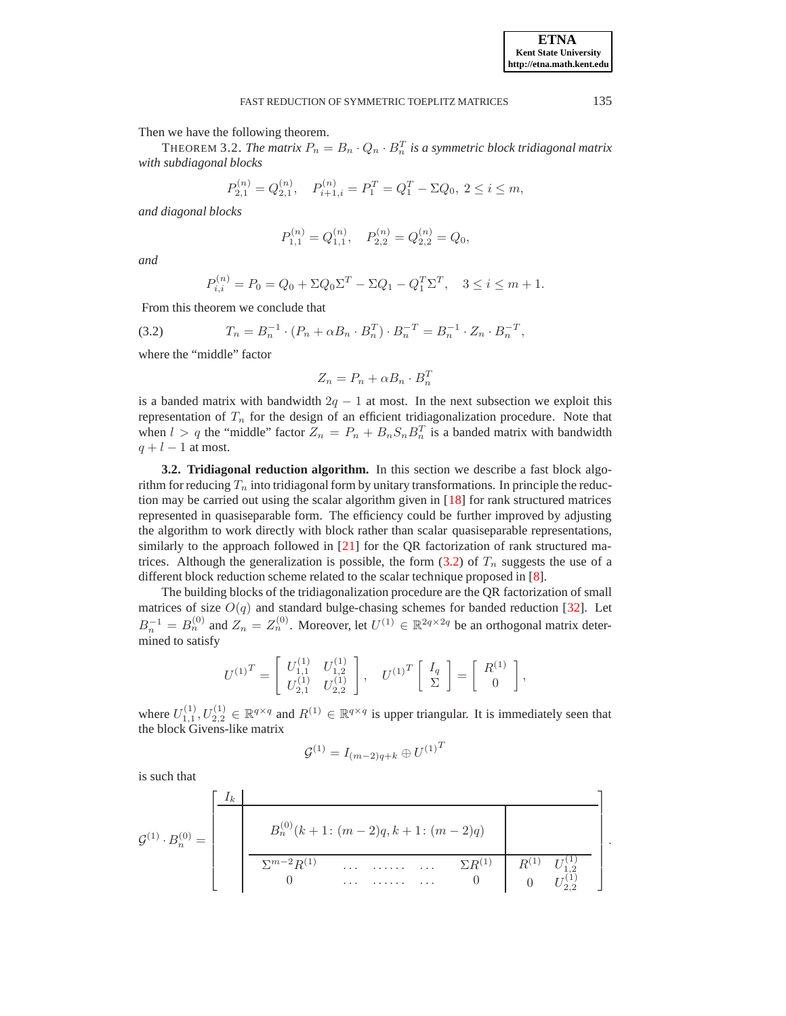Then we have the following theorem.

THEOREM 3.2. *The matrix*  $P_n = B_n \cdot Q_n \cdot B_n^T$  *is a symmetric block tridiagonal matrix with subdiagonal blocks*

$$
P_{2,1}^{(n)} = Q_{2,1}^{(n)}, \quad P_{i+1,i}^{(n)} = P_1^T = Q_1^T - \Sigma Q_0, \ 2 \le i \le m,
$$

*and diagonal blocks*

$$
P_{1,1}^{(n)} = Q_{1,1}^{(n)}, \quad P_{2,2}^{(n)} = Q_{2,2}^{(n)} = Q_0,
$$

*and*

$$
P_{i,i}^{(n)} = P_0 = Q_0 + \Sigma Q_0 \Sigma^T - \Sigma Q_1 - Q_1^T \Sigma^T, \quad 3 \le i \le m + 1.
$$

From this theorem we conclude that

<span id="page-6-0"></span>(3.2) 
$$
T_n = B_n^{-1} \cdot (P_n + \alpha B_n \cdot B_n^T) \cdot B_n^{-T} = B_n^{-1} \cdot Z_n \cdot B_n^{-T},
$$

where the "middle" factor

$$
Z_n = P_n + \alpha B_n \cdot B_n^T
$$

is a banded matrix with bandwidth  $2q - 1$  at most. In the next subsection we exploit this representation of  $T_n$  for the design of an efficient tridiagonalization procedure. Note that when  $l > q$  the "middle" factor  $Z_n = P_n + B_n S_n B_n^T$  is a banded matrix with bandwidth  $q + l - 1$  at most.

**3.2. Tridiagonal reduction algorithm.** In this section we describe a fast block algorithm for reducing  $T_n$  into tridiagonal form by unitary transformations. In principle the reduction may be carried out using the scalar algorithm given in [\[18\]](#page-17-21) for rank structured matrices represented in quasiseparable form. The efficiency could be further improved by adjusting the algorithm to work directly with block rather than scalar quasiseparable representations, similarly to the approach followed in  $[21]$  for the QR factorization of rank structured matrices. Although the generalization is possible, the form  $(3.2)$  of  $T_n$  suggests the use of a different block reduction scheme related to the scalar technique proposed in [\[8\]](#page-17-20).

The building blocks of the tridiagonalization procedure are the QR factorization of small matrices of size  $O(q)$  and standard bulge-chasing schemes for banded reduction [\[32\]](#page-17-31). Let  $B_n^{-1} = B_n^{(0)}$  and  $Z_n = Z_n^{(0)}$ . Moreover, let  $U^{(1)} \in \mathbb{R}^{2q \times 2q}$  be an orthogonal matrix determined to satisfy

$$
U^{(1)^{T}} = \begin{bmatrix} U_{1,1}^{(1)} & U_{1,2}^{(1)} \\ U_{2,1}^{(1)} & U_{2,2}^{(1)} \end{bmatrix}, \quad U^{(1)^{T}} \begin{bmatrix} I_{q} \\ \Sigma \end{bmatrix} = \begin{bmatrix} R^{(1)} \\ 0 \end{bmatrix},
$$

where  $U_{1,1}^{(1)}, U_{2,2}^{(1)} \in \mathbb{R}^{q \times q}$  and  $R^{(1)} \in \mathbb{R}^{q \times q}$  is upper triangular. It is immediately seen that the block Givens-like matrix

$$
{\cal G}^{(1)} = I_{(m-2)q+k} \oplus {U^{(1)}}^T
$$

is such that

$$
\mathcal{G}^{(1)} \cdot B_n^{(0)} = \begin{bmatrix} I_k & & & \\ & B_n^{(0)}(k+1)(m-2)q, k+1((m-2)q) & \\ & \frac{B_n^{(0)}(k+1)(m-2)q, k+1((m-2)q)}{2m-2R^{(1)}(m-2)q} & & \\ & & \ddots & \ddots & \ddots & \ddots & D_n^{(1)} & D_{1,2}^{(1)} \\ 0 & \cdots & \cdots & \cdots & \cdots & 0 & 0 & U_{2,2}^{(1)} \end{bmatrix}.
$$

**ETNA Kent State University http://etna.math.kent.edu**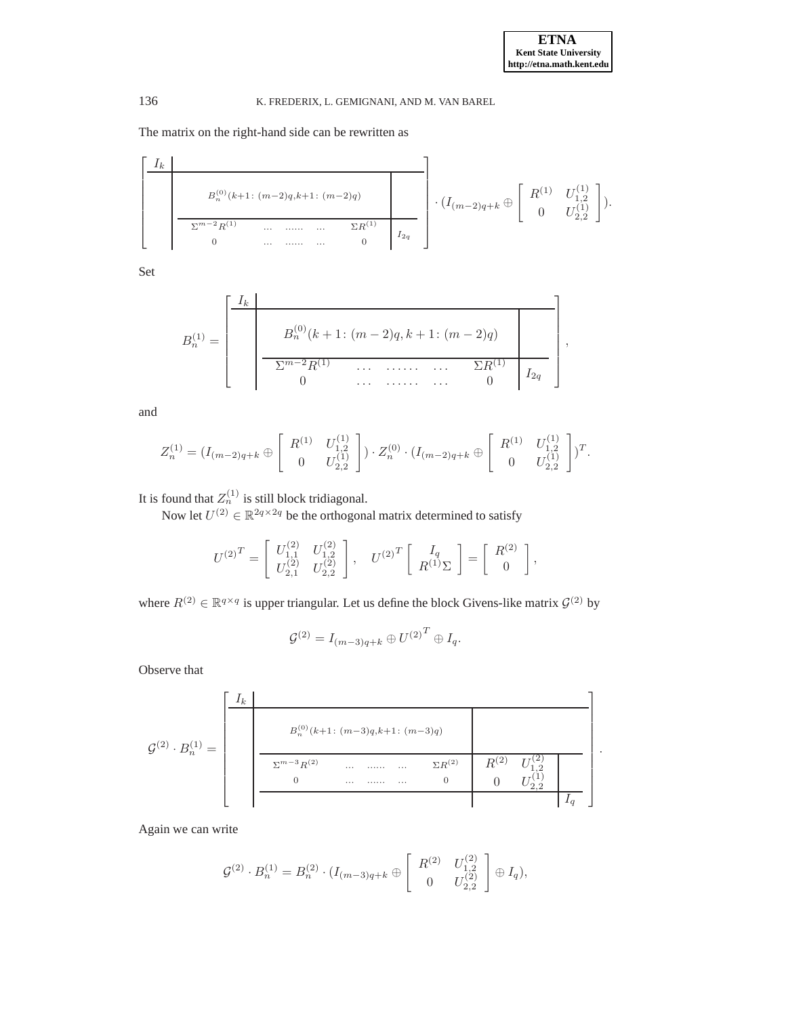.

# 136 K. FREDERIX, L. GEMIGNANI, AND M. VAN BAREL

The matrix on the right-hand side can be rewritten as

$$
\begin{bmatrix}\nI_k \\
B_n^{(0)}(k+1; (m-2)q, k+1; (m-2)q) \\
\hline\n\sum_{n=2}^{m-2} R^{(1)} & \dots & \dots & \dots & \sum_{n=0}^{m-1} R^{(1)} \\
0 & \dots & \dots & \dots & 0\n\end{bmatrix}\n\cdot (I_{(m-2)q+k} \oplus \begin{bmatrix} R^{(1)} & U_{1,2}^{(1)} \\
0 & U_{2,2}^{(1)}\n\end{bmatrix}).
$$

Set

$$
B_n^{(1)} = \begin{bmatrix} I_k & & & \\ & B_n^{(0)}(k+1) & (m-2)q, k+1 & (m-2)q \\ & & \overbrace{\sum_{i=1}^{m-2} R^{(1)}} & \cdots & \cdots & \sum_{i=1}^{m-2} R^{(1)}} & I_{2q} \\ 0 & \cdots & \cdots & \cdots & 0 \end{bmatrix},
$$

and

$$
Z_n^{(1)} = (I_{(m-2)q+k} \oplus \begin{bmatrix} R^{(1)} & U_{1,2}^{(1)} \\ 0 & U_{2,2}^{(1)} \end{bmatrix}) \cdot Z_n^{(0)} \cdot (I_{(m-2)q+k} \oplus \begin{bmatrix} R^{(1)} & U_{1,2}^{(1)} \\ 0 & U_{2,2}^{(1)} \end{bmatrix})^T.
$$

It is found that  $Z_n^{(1)}$  is still block tridiagonal.

Now let  $U^{(2)} \in \mathbb{R}^{2q \times 2q}$  be the orthogonal matrix determined to satisfy

$$
U^{(2)^{T}} = \begin{bmatrix} U_{1,1}^{(2)} & U_{1,2}^{(2)} \\ U_{2,1}^{(2)} & U_{2,2}^{(2)} \end{bmatrix}, \quad U^{(2)^{T}} \begin{bmatrix} I_{q} \\ R^{(1)} \Sigma \end{bmatrix} = \begin{bmatrix} R^{(2)} \\ 0 \end{bmatrix},
$$

where  $R^{(2)} \in \mathbb{R}^{q \times q}$  is upper triangular. Let us define the block Givens-like matrix  $\mathcal{G}^{(2)}$  by

$$
\mathcal{G}^{(2)} = I_{(m-3)q+k} \oplus U^{(2)^T} \oplus I_q.
$$

Observe that

G (2) · B (1) <sup>n</sup> = Ik B(0) <sup>n</sup> (k+1 : (m−3)q,k+1 : (m−3)q) Σm−3R(2) ... ...... ... ΣR(2) 0 ... ...... ... 0 R(2) U (2) 1,2 0 U (1) 2,2 Iq 

Again we can write

$$
\mathcal{G}^{(2)} \cdot B_n^{(1)} = B_n^{(2)} \cdot (I_{(m-3)q+k} \oplus \begin{bmatrix} R^{(2)} & U_{1,2}^{(2)} \\ 0 & U_{2,2}^{(2)} \end{bmatrix} \oplus I_q),
$$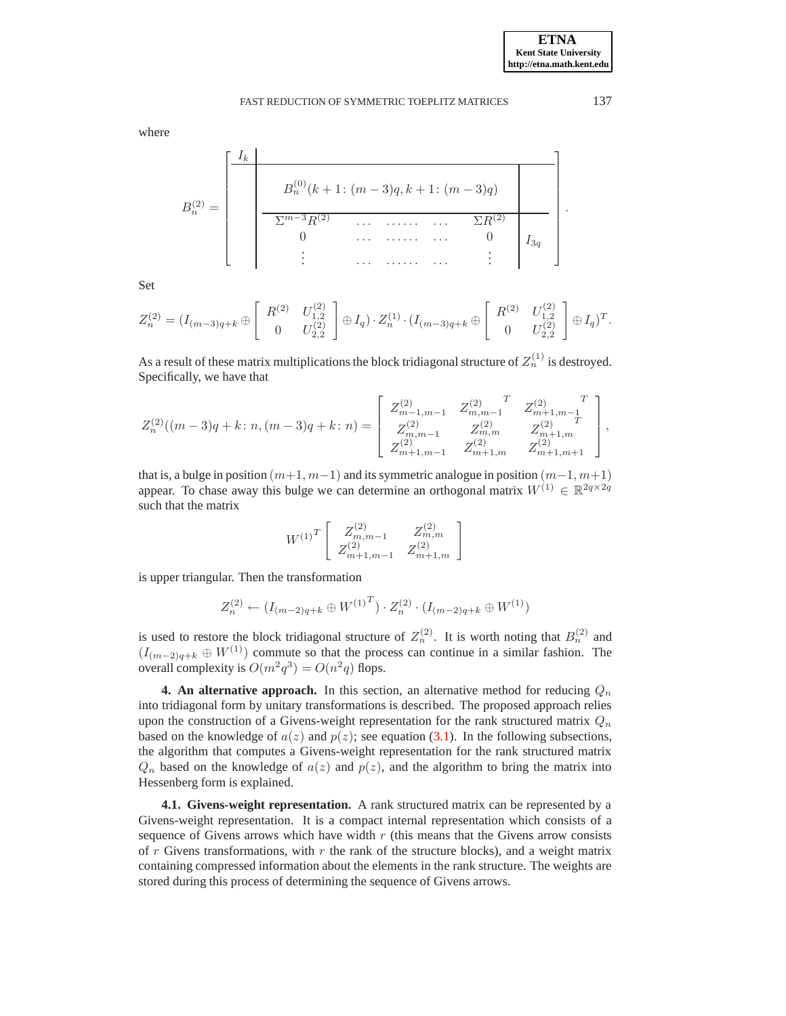.

where

$$
B_n^{(2)} = \begin{bmatrix} I_k & & & & \\ & B_n^{(0)}(k+1)(m-3)q, k+1((m-3)q) & \\ & \frac{\Sigma^{m-3}R^{(2)}}{2m-3R^{(2)}} & \dots & \dots & \Sigma^{(2)}R^{(2)} & \\ 0 & \dots & \dots & \dots & 0 & I_{3q} \\ \vdots & \vdots & \dots & \dots & \dots & \vdots \end{bmatrix}
$$

Set

$$
Z_n^{(2)} = (I_{(m-3)q+k} \oplus \begin{bmatrix} R^{(2)} & U_{1,2}^{(2)} \\ 0 & U_{2,2}^{(2)} \end{bmatrix} \oplus I_q) \cdot Z_n^{(1)} \cdot (I_{(m-3)q+k} \oplus \begin{bmatrix} R^{(2)} & U_{1,2}^{(2)} \\ 0 & U_{2,2}^{(2)} \end{bmatrix} \oplus I_q)^T.
$$

As a result of these matrix multiplications the block tridiagonal structure of  $Z_n^{(1)}$  is destroyed. Specifically, we have that

$$
Z_n^{(2)}((m-3)q+k: n,(m-3)q+k: n) = \left[ \begin{array}{cccc} Z_{m-1,m-1}^{(2)} & Z_{m,m-1}^{(2)} & Z_{m+1,m-1}^{(2)} & T \\ Z_{m,m-1}^{(2)} & Z_{m,m}^{(2)} & Z_{m+1,m}^{(2)} \\ Z_{m+1,m-1}^{(2)} & Z_{m+1,m}^{(2)} & Z_{m+1,m+1}^{(2)} \end{array} \right],
$$

that is, a bulge in position  $(m+1, m-1)$  and its symmetric analogue in position  $(m-1, m+1)$ appear. To chase away this bulge we can determine an orthogonal matrix  $W^{(1)} \in \mathbb{R}^{2q \times 2q}$ such that the matrix

$$
W^{(1)}^{T} \left[ \begin{array}{cc} Z_{m,m-1}^{(2)} & Z_{m,m}^{(2)} \\ Z_{m+1,m-1}^{(2)} & Z_{m+1,m}^{(2)} \end{array} \right]
$$

is upper triangular. Then the transformation

$$
Z_n^{(2)} \leftarrow (I_{(m-2)q+k} \oplus W^{(1)}^T) \cdot Z_n^{(2)} \cdot (I_{(m-2)q+k} \oplus W^{(1)})
$$

is used to restore the block tridiagonal structure of  $Z_n^{(2)}$ . It is worth noting that  $B_n^{(2)}$  and  $(I_{(m-2)q+k} \oplus W^{(1)})$  commute so that the process can continue in a similar fashion. The overall complexity is  $O(m^2q^3) = O(n^2q)$  flops.

<span id="page-8-0"></span>**4. An alternative approach.** In this section, an alternative method for reducing  $Q_n$ into tridiagonal form by unitary transformations is described. The proposed approach relies upon the construction of a Givens-weight representation for the rank structured matrix  $Q_n$ based on the knowledge of  $a(z)$  and  $p(z)$ ; see equation [\(3.1\)](#page-4-0). In the following subsections, the algorithm that computes a Givens-weight representation for the rank structured matrix  $Q_n$  based on the knowledge of  $a(z)$  and  $p(z)$ , and the algorithm to bring the matrix into Hessenberg form is explained.

**4.1. Givens-weight representation.** A rank structured matrix can be represented by a Givens-weight representation. It is a compact internal representation which consists of a sequence of Givens arrows which have width  $r$  (this means that the Givens arrow consists of  $r$  Givens transformations, with  $r$  the rank of the structure blocks), and a weight matrix containing compressed information about the elements in the rank structure. The weights are stored during this process of determining the sequence of Givens arrows.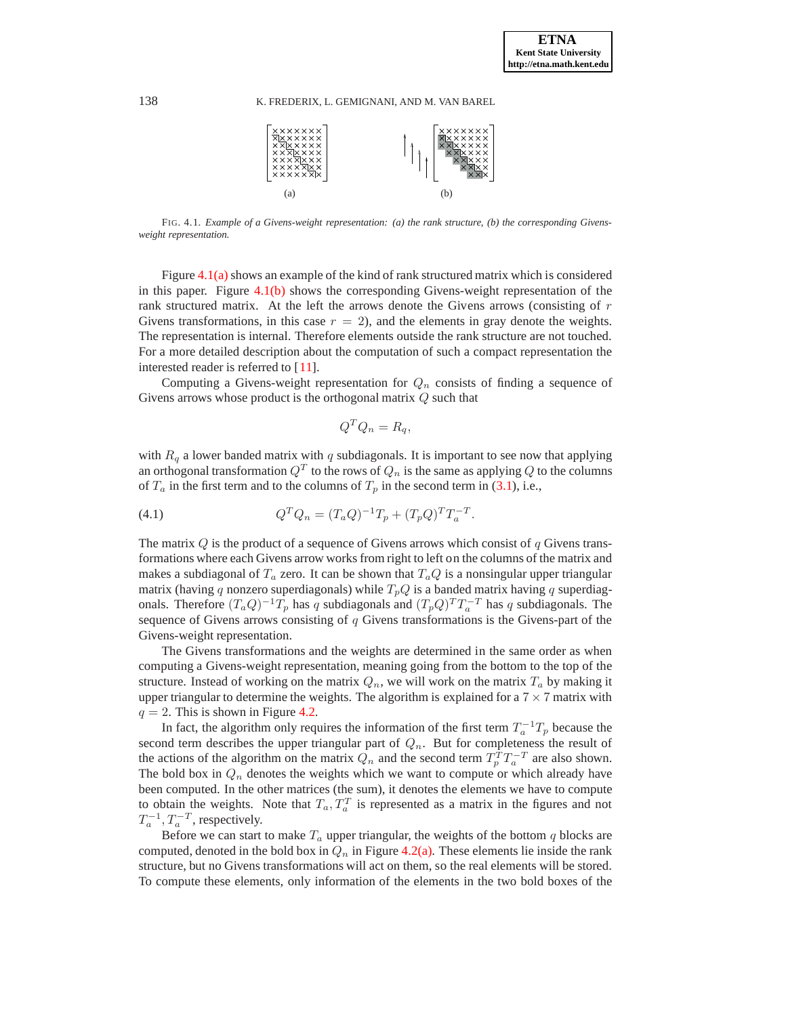

FIG. 4.1. *Example of a Givens-weight representation: (a) the rank structure, (b) the corresponding Givensweight representation.*

Figure [4.1\(a\)](#page-15-1) shows an example of the kind of rank structured matrix which is considered in this paper. Figure [4.1\(b\)](#page-15-2) shows the corresponding Givens-weight representation of the rank structured matrix. At the left the arrows denote the Givens arrows (consisting of r Givens transformations, in this case  $r = 2$ ), and the elements in gray denote the weights. The representation is internal. Therefore elements outside the rank structure are not touched. For a more detailed description about the computation of such a compact representation the interested reader is referred to [\[11\]](#page-17-26).

Computing a Givens-weight representation for  $Q_n$  consists of finding a sequence of Givens arrows whose product is the orthogonal matrix Q such that

$$
Q^T Q_n = R_q,
$$

with  $R_q$  a lower banded matrix with  $q$  subdiagonals. It is important to see now that applying an orthogonal transformation  $Q^T$  to the rows of  $Q_n$  is the same as applying  $Q$  to the columns of  $T_a$  in the first term and to the columns of  $T_p$  in the second term in [\(3.1\)](#page-4-0), i.e.,

.

(4.1) 
$$
Q^T Q_n = (T_a Q)^{-1} T_p + (T_p Q)^T T_a^{-T}
$$

The matrix  $Q$  is the product of a sequence of Givens arrows which consist of  $q$  Givens transformations where each Givens arrow works from right to left on the columns of the matrix and makes a subdiagonal of  $T_a$  zero. It can be shown that  $T_aQ$  is a nonsingular upper triangular matrix (having q nonzero superdiagonals) while  $T_pQ$  is a banded matrix having q superdiagonals. Therefore  $(T_a Q)^{-1} T_p$  has q subdiagonals and  $(T_p Q)^T T_a^{-T}$  has q subdiagonals. The sequence of Givens arrows consisting of  $q$  Givens transformations is the Givens-part of the Givens-weight representation.

The Givens transformations and the weights are determined in the same order as when computing a Givens-weight representation, meaning going from the bottom to the top of the structure. Instead of working on the matrix  $Q_n$ , we will work on the matrix  $T_a$  by making it upper triangular to determine the weights. The algorithm is explained for a  $7 \times 7$  matrix with  $q = 2$ . This is shown in Figure [4.2.](#page-10-0)

In fact, the algorithm only requires the information of the first term  $T_a^{-1}T_p$  because the second term describes the upper triangular part of  $Q_n$ . But for completeness the result of the actions of the algorithm on the matrix  $Q_n$  and the second term  $T_p^T T_a^{-T}$  are also shown. The bold box in  $Q_n$  denotes the weights which we want to compute or which already have been computed. In the other matrices (the sum), it denotes the elements we have to compute to obtain the weights. Note that  $T_a, T_a^T$  is represented as a matrix in the figures and not  $T_a^{-1}, T_a^{-T}$ , respectively.

Before we can start to make  $T_a$  upper triangular, the weights of the bottom q blocks are computed, denoted in the bold box in  $Q_n$  in Figure [4.2\(a\).](#page-10-1) These elements lie inside the rank structure, but no Givens transformations will act on them, so the real elements will be stored. To compute these elements, only information of the elements in the two bold boxes of the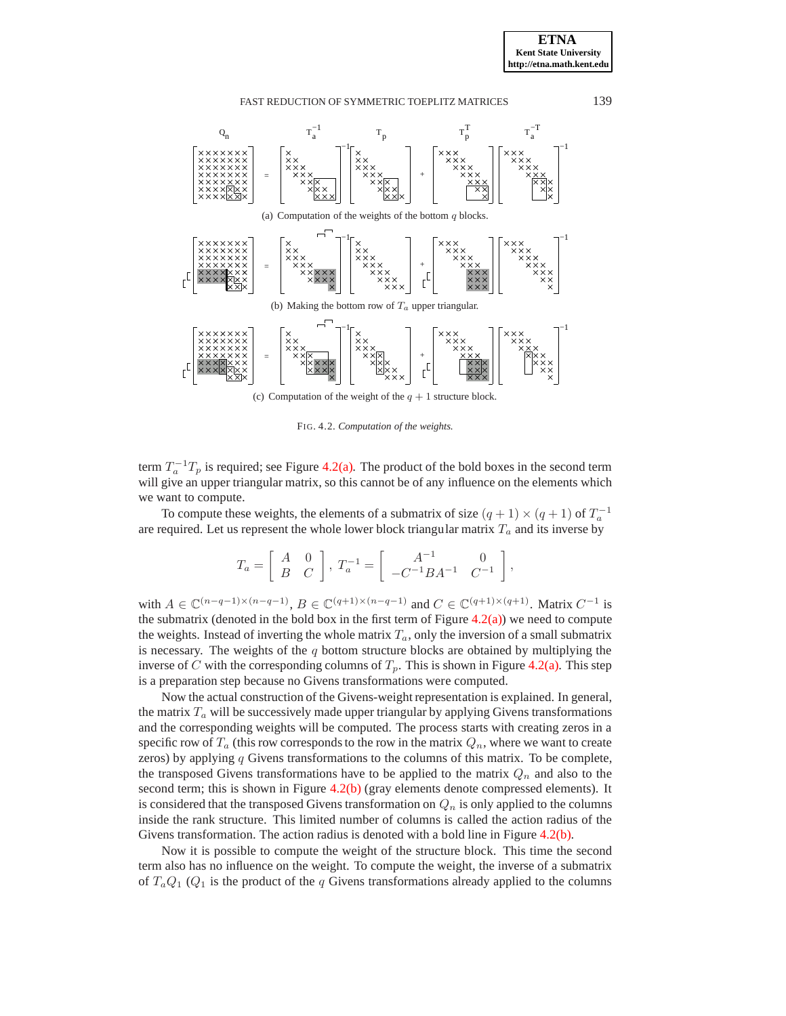<span id="page-10-1"></span>

<span id="page-10-0"></span>FIG. 4.2. *Computation of the weights.*

<span id="page-10-3"></span><span id="page-10-2"></span>term  $T_a^{-1}T_p$  is required; see Figure [4.2\(a\).](#page-10-1) The product of the bold boxes in the second term will give an upper triangular matrix, so this cannot be of any influence on the elements which we want to compute.

To compute these weights, the elements of a submatrix of size  $(q + 1) \times (q + 1)$  of  $T_a^{-1}$ are required. Let us represent the whole lower block triangular matrix  $T_a$  and its inverse by

$$
T_a = \left[ \begin{array}{cc} A & 0 \\ B & C \end{array} \right], \; T_a^{-1} = \left[ \begin{array}{cc} A^{-1} & 0 \\ -C^{-1}BA^{-1} & C^{-1} \end{array} \right],
$$

with  $A \in \mathbb{C}^{(n-q-1)\times(n-q-1)}$ ,  $B \in \mathbb{C}^{(q+1)\times(n-q-1)}$  and  $C \in \mathbb{C}^{(q+1)\times(q+1)}$ . Matrix  $C^{-1}$  is the submatrix (denoted in the bold box in the first term of Figure  $(4.2(a))$  $(4.2(a))$ ) we need to compute the weights. Instead of inverting the whole matrix  $T_a$ , only the inversion of a small submatrix is necessary. The weights of the  $q$  bottom structure blocks are obtained by multiplying the inverse of C with the corresponding columns of  $T_p$ . This is shown in Figure [4.2\(a\).](#page-10-1) This step is a preparation step because no Givens transformations were computed.

Now the actual construction of the Givens-weight representation is explained. In general, the matrix  $T_a$  will be successively made upper triangular by applying Givens transformations and the corresponding weights will be computed. The process starts with creating zeros in a specific row of  $T_a$  (this row corresponds to the row in the matrix  $Q_n$ , where we want to create zeros) by applying  $q$  Givens transformations to the columns of this matrix. To be complete, the transposed Givens transformations have to be applied to the matrix  $Q_n$  and also to the second term; this is shown in Figure  $4.2(b)$  (gray elements denote compressed elements). It is considered that the transposed Givens transformation on  $Q_n$  is only applied to the columns inside the rank structure. This limited number of columns is called the action radius of the Givens transformation. The action radius is denoted with a bold line in Figure [4.2\(b\).](#page-10-2)

Now it is possible to compute the weight of the structure block. This time the second term also has no influence on the weight. To compute the weight, the inverse of a submatrix of  $T_aQ_1$  ( $Q_1$  is the product of the q Givens transformations already applied to the columns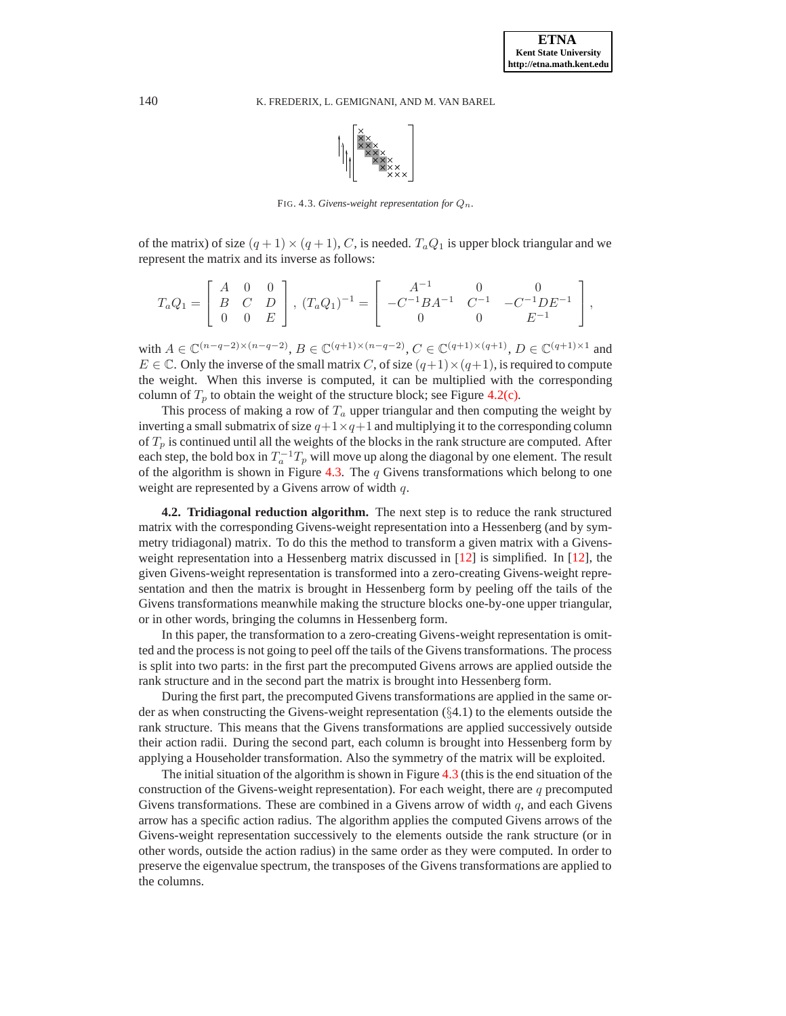

<span id="page-11-0"></span>FIG. 4.3. *Givens-weight representation for*  $Q_n$ .

of the matrix) of size  $(q + 1) \times (q + 1)$ , C, is needed.  $T_a Q_1$  is upper block triangular and we represent the matrix and its inverse as follows:

$$
T_a Q_1 = \begin{bmatrix} A & 0 & 0 \\ B & C & D \\ 0 & 0 & E \end{bmatrix}, (T_a Q_1)^{-1} = \begin{bmatrix} A^{-1} & 0 & 0 \\ -C^{-1} B A^{-1} & C^{-1} & -C^{-1} D E^{-1} \\ 0 & 0 & E^{-1} \end{bmatrix},
$$

with  $A \in \mathbb{C}^{(n-q-2)\times (n-q-2)}$ ,  $B \in \mathbb{C}^{(q+1)\times (n-q-2)}$ ,  $C \in \mathbb{C}^{(q+1)\times (q+1)}$ ,  $D \in \mathbb{C}^{(q+1)\times 1}$  and  $E \in \mathbb{C}$ . Only the inverse of the small matrix C, of size  $(q+1) \times (q+1)$ , is required to compute the weight. When this inverse is computed, it can be multiplied with the corresponding column of  $T_p$  to obtain the weight of the structure block; see Figure [4.2\(c\).](#page-10-3)

This process of making a row of  $T_a$  upper triangular and then computing the weight by inverting a small submatrix of size  $q+1\times q+1$  and multiplying it to the corresponding column of  $T_p$  is continued until all the weights of the blocks in the rank structure are computed. After each step, the bold box in  $T_a^{-1}T_p$  will move up along the diagonal by one element. The result of the algorithm is shown in Figure [4.3.](#page-11-0) The  $q$  Givens transformations which belong to one weight are represented by a Givens arrow of width  $q$ .

**4.2. Tridiagonal reduction algorithm.** The next step is to reduce the rank structured matrix with the corresponding Givens-weight representation into a Hessenberg (and by symmetry tridiagonal) matrix. To do this the method to transform a given matrix with a Givensweight representation into a Hessenberg matrix discussed in  $[12]$  is simplified. In  $[12]$ , the given Givens-weight representation is transformed into a zero-creating Givens-weight representation and then the matrix is brought in Hessenberg form by peeling off the tails of the Givens transformations meanwhile making the structure blocks one-by-one upper triangular, or in other words, bringing the columns in Hessenberg form.

In this paper, the transformation to a zero-creating Givens-weight representation is omitted and the process is not going to peel off the tails of the Givens transformations. The process is split into two parts: in the first part the precomputed Givens arrows are applied outside the rank structure and in the second part the matrix is brought into Hessenberg form.

During the first part, the precomputed Givens transformations are applied in the same order as when constructing the Givens-weight representation (§4.1) to the elements outside the rank structure. This means that the Givens transformations are applied successively outside their action radii. During the second part, each column is brought into Hessenberg form by applying a Householder transformation. Also the symmetry of the matrix will be exploited.

The initial situation of the algorithm is shown in Figure [4.3](#page-11-0) (this is the end situation of the construction of the Givens-weight representation). For each weight, there are  $q$  precomputed Givens transformations. These are combined in a Givens arrow of width  $q$ , and each Givens arrow has a specific action radius. The algorithm applies the computed Givens arrows of the Givens-weight representation successively to the elements outside the rank structure (or in other words, outside the action radius) in the same order as they were computed. In order to preserve the eigenvalue spectrum, the transposes of the Givens transformations are applied to the columns.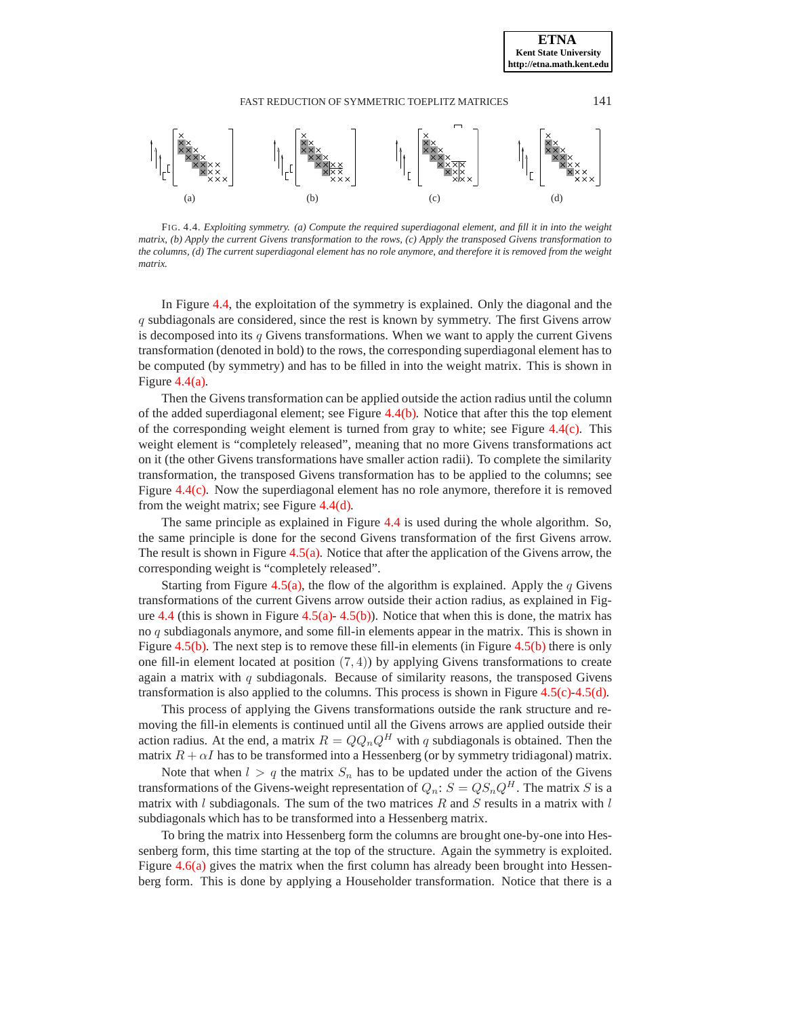<span id="page-12-4"></span>**ETNA Kent State University http://etna.math.kent.edu**

<span id="page-12-1"></span>

<span id="page-12-3"></span><span id="page-12-2"></span><span id="page-12-0"></span>FIG. 4.4. *Exploiting symmetry. (a) Compute the required superdiagonal element, and fill it in into the weight matrix, (b) Apply the current Givens transformation to the rows, (c) Apply the transposed Givens transformation to the columns, (d) The current superdiagonal element has no role anymore, and therefore it is removed from the weight matrix.*

In Figure [4.4,](#page-12-0) the exploitation of the symmetry is explained. Only the diagonal and the q subdiagonals are considered, since the rest is known by symmetry. The first Givens arrow is decomposed into its  $q$  Givens transformations. When we want to apply the current Givens transformation (denoted in bold) to the rows, the corresponding superdiagonal element has to be computed (by symmetry) and has to be filled in into the weight matrix. This is shown in Figure [4.4\(a\).](#page-12-1)

Then the Givens transformation can be applied outside the action radius until the column of the added superdiagonal element; see Figure [4.4\(b\).](#page-12-2) Notice that after this the top element of the corresponding weight element is turned from gray to white; see Figure  $4.4(c)$ . This weight element is "completely released", meaning that no more Givens transformations act on it (the other Givens transformations have smaller action radii). To complete the similarity transformation, the transposed Givens transformation has to be applied to the columns; see Figure [4.4\(c\).](#page-12-3) Now the superdiagonal element has no role anymore, therefore it is removed from the weight matrix; see Figure [4.4\(d\).](#page-12-4)

The same principle as explained in Figure [4.4](#page-12-0) is used during the whole algorithm. So, the same principle is done for the second Givens transformation of the first Givens arrow. The result is shown in Figure [4.5\(a\).](#page-13-1) Notice that after the application of the Givens arrow, the corresponding weight is "completely released".

Starting from Figure [4.5\(a\),](#page-13-1) the flow of the algorithm is explained. Apply the  $q$  Givens transformations of the current Givens arrow outside their action radius, as explained in Fig-ure [4.4](#page-12-0) (this is shown in Figure [4.5\(a\)-](#page-13-1) [4.5\(b\)\)](#page-13-2). Notice that when this is done, the matrix has no q subdiagonals anymore, and some fill-in elements appear in the matrix. This is shown in Figure [4.5\(b\).](#page-13-2) The next step is to remove these fill-in elements (in Figure [4.5\(b\)](#page-13-2) there is only one fill-in element located at position  $(7, 4)$ ) by applying Givens transformations to create again a matrix with  $q$  subdiagonals. Because of similarity reasons, the transposed Givens transformation is also applied to the columns. This process is shown in Figure [4.5\(c\)](#page-13-3)[-4.5\(d\).](#page-13-4)

This process of applying the Givens transformations outside the rank structure and removing the fill-in elements is continued until all the Givens arrows are applied outside their action radius. At the end, a matrix  $R = QQ_nQ^H$  with q subdiagonals is obtained. Then the matrix  $R + \alpha I$  has to be transformed into a Hessenberg (or by symmetry tridiagonal) matrix.

Note that when  $l > q$  the matrix  $S_n$  has to be updated under the action of the Givens transformations of the Givens-weight representation of  $Q_n$ :  $S = QS_nQ^H$ . The matrix S is a matrix with  $l$  subdiagonals. The sum of the two matrices  $R$  and  $S$  results in a matrix with  $l$ subdiagonals which has to be transformed into a Hessenberg matrix.

To bring the matrix into Hessenberg form the columns are brought one-by-one into Hessenberg form, this time starting at the top of the structure. Again the symmetry is exploited. Figure [4.6\(a\)](#page-13-5) gives the matrix when the first column has already been brought into Hessenberg form. This is done by applying a Householder transformation. Notice that there is a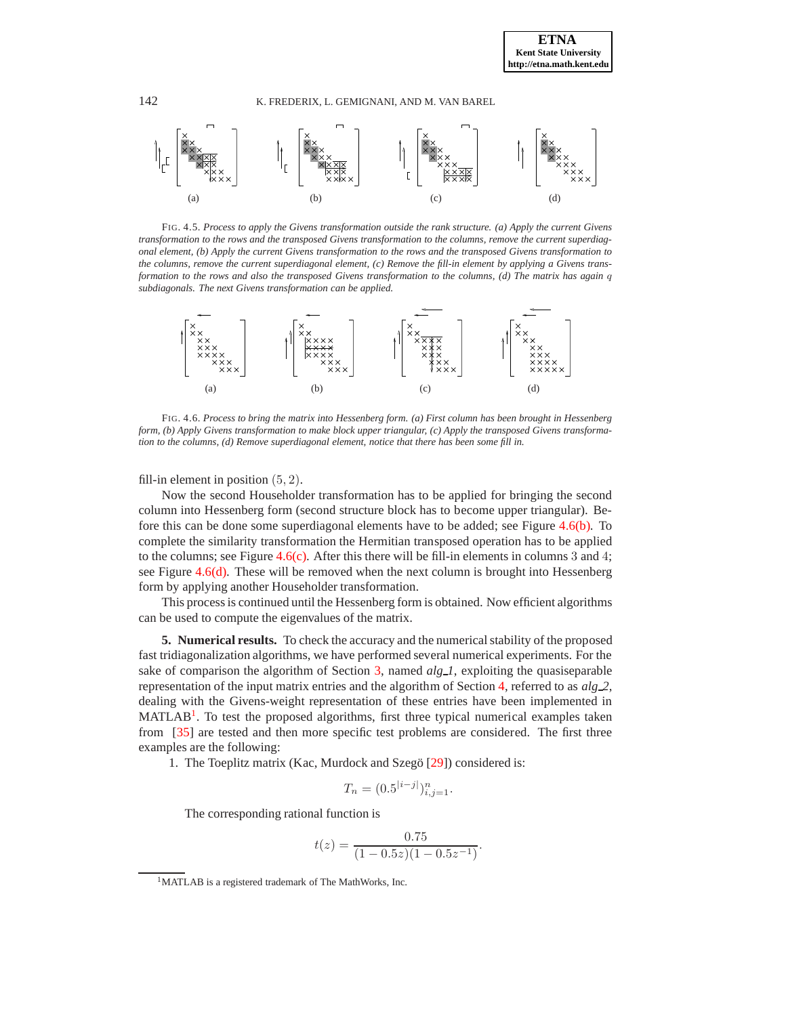<span id="page-13-4"></span>**ETNA Kent State University http://etna.math.kent.edu**

<span id="page-13-1"></span>

<span id="page-13-5"></span><span id="page-13-3"></span><span id="page-13-2"></span>FIG. 4.5. *Process to apply the Givens transformation outside the rank structure. (a) Apply the current Givens transformation to the rows and the transposed Givens transformation to the columns, remove the current superdiagonal element, (b) Apply the current Givens transformation to the rows and the transposed Givens transformation to the columns, remove the current superdiagonal element, (c) Remove the fill-in element by applying a Givens transformation to the rows and also the transposed Givens transformation to the columns, (d) The matrix has again* q *subdiagonals. The next Givens transformation can be applied.*

<span id="page-13-8"></span><span id="page-13-7"></span><span id="page-13-6"></span>

FIG. 4.6. *Process to bring the matrix into Hessenberg form. (a) First column has been brought in Hessenberg form, (b) Apply Givens transformation to make block upper triangular, (c) Apply the transposed Givens transformation to the columns, (d) Remove superdiagonal element, notice that there has been some fill in.*

fill-in element in position  $(5, 2)$ .

Now the second Householder transformation has to be applied for bringing the second column into Hessenberg form (second structure block has to become upper triangular). Before this can be done some superdiagonal elements have to be added; see Figure [4.6\(b\).](#page-13-6) To complete the similarity transformation the Hermitian transposed operation has to be applied to the columns; see Figure  $4.6(c)$ . After this there will be fill-in elements in columns 3 and 4; see Figure [4.6\(d\).](#page-13-8) These will be removed when the next column is brought into Hessenberg form by applying another Householder transformation.

This process is continued until the Hessenberg form is obtained. Now efficient algorithms can be used to compute the eigenvalues of the matrix.

<span id="page-13-0"></span>**5. Numerical results.** To check the accuracy and the numerical stability of the proposed fast tridiagonalization algorithms, we have performed several numerical experiments. For the sake of comparison the algorithm of Section [3,](#page-3-0) named *alg 1*, exploiting the quasiseparable representation of the input matrix entries and the algorithm of Section [4,](#page-8-0) referred to as *alg 2*, dealing with the Givens-weight representation of these entries have been implemented in MATLAB<sup>[1](#page-13-9)</sup>. To test the proposed algorithms, first three typical numerical examples taken from [\[35\]](#page-17-0) are tested and then more specific test problems are considered. The first three examples are the following:

1. The Toeplitz matrix (Kac, Murdock and Szegö [\[29\]](#page-17-32)) considered is:

$$
T_n = (0.5^{|i-j|})_{i,j=1}^n.
$$

The corresponding rational function is

$$
t(z) = \frac{0.75}{(1 - 0.5z)(1 - 0.5z^{-1})}.
$$

<span id="page-13-9"></span><sup>1</sup>MATLAB is a registered trademark of The MathWorks, Inc.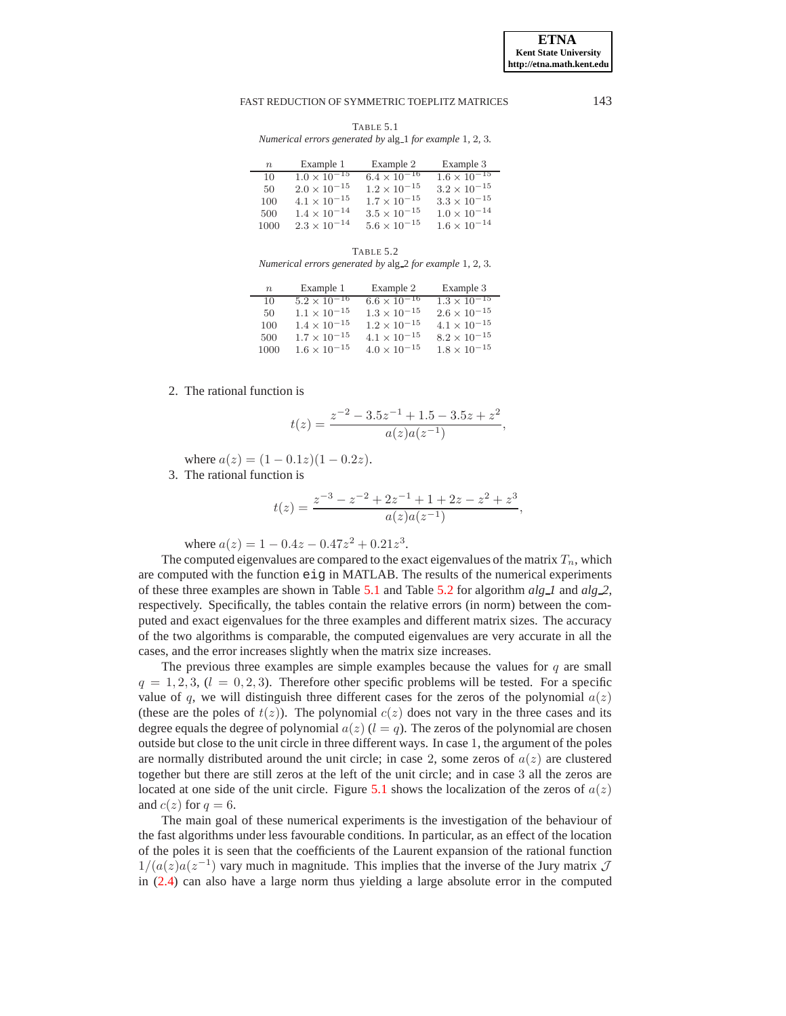TABLE 5.1 *Numerical errors generated by* alg 1 *for example* 1*,* 2*,* 3*.*

<span id="page-14-0"></span>

| $n_{\rm}$ | Example 1             | Example 2             | Example 3                        |
|-----------|-----------------------|-----------------------|----------------------------------|
| 10        | $1.0 \times 10^{-15}$ | $6.4 \times 10^{-16}$ | $1.6 \times \overline{10^{-15}}$ |
| 50        | $2.0 \times 10^{-15}$ | $1.2 \times 10^{-15}$ | $3.2 \times 10^{-15}$            |
| 100       | $4.1 \times 10^{-15}$ | $1.7 \times 10^{-15}$ | $3.3 \times 10^{-15}$            |
| 500       | $1.4 \times 10^{-14}$ | $3.5 \times 10^{-15}$ | $1.0 \times 10^{-14}$            |
| 1000      | $2.3 \times 10^{-14}$ | $5.6 \times 10^{-15}$ | $1.6 \times 10^{-14}$            |

TABLE 5.2

<span id="page-14-1"></span>*Numerical errors generated by* alg 2 *for example* 1*,* 2*,* 3*.*

| $\boldsymbol{n}$ | Example 1             | Example 2             | Example 3             |
|------------------|-----------------------|-----------------------|-----------------------|
| 10               | $5.2 \times 10^{-16}$ | $6.6 \times 10^{-16}$ | $1.3 \times 10^{-15}$ |
| 50               | $1.1 \times 10^{-15}$ | $1.3 \times 10^{-15}$ | $2.6 \times 10^{-15}$ |
| 100              | $1.4 \times 10^{-15}$ | $1.2 \times 10^{-15}$ | $4.1 \times 10^{-15}$ |
| 500              | $1.7 \times 10^{-15}$ | $4.1 \times 10^{-15}$ | $8.2 \times 10^{-15}$ |
| 1000             | $1.6 \times 10^{-15}$ | $4.0 \times 10^{-15}$ | $1.8 \times 10^{-15}$ |

# 2. The rational function is

$$
t(z) = \frac{z^{-2} - 3.5z^{-1} + 1.5 - 3.5z + z^2}{a(z)a(z^{-1})},
$$

where  $a(z) = (1 - 0.1z)(1 - 0.2z)$ .

3. The rational function is

$$
t(z) = \frac{z^{-3} - z^{-2} + 2z^{-1} + 1 + 2z - z^{2} + z^{3}}{a(z)a(z^{-1})},
$$

where  $a(z) = 1 - 0.4z - 0.47z^2 + 0.21z^3$ .

The computed eigenvalues are compared to the exact eigenvalues of the matrix  $T_n$ , which are computed with the function eig in MATLAB. The results of the numerical experiments of these three examples are shown in Table [5.1](#page-14-0) and Table [5.2](#page-14-1) for algorithm *alg 1* and *alg 2*, respectively. Specifically, the tables contain the relative errors (in norm) between the computed and exact eigenvalues for the three examples and different matrix sizes. The accuracy of the two algorithms is comparable, the computed eigenvalues are very accurate in all the cases, and the error increases slightly when the matrix size increases.

The previous three examples are simple examples because the values for  $q$  are small  $q = 1, 2, 3, (l = 0, 2, 3)$ . Therefore other specific problems will be tested. For a specific value of q, we will distinguish three different cases for the zeros of the polynomial  $a(z)$ (these are the poles of  $t(z)$ ). The polynomial  $c(z)$  does not vary in the three cases and its degree equals the degree of polynomial  $a(z)$  ( $l = q$ ). The zeros of the polynomial are chosen outside but close to the unit circle in three different ways. In case 1, the argument of the poles are normally distributed around the unit circle; in case 2, some zeros of  $a(z)$  are clustered together but there are still zeros at the left of the unit circle; and in case 3 all the zeros are located at one side of the unit circle. Figure [5.1](#page-15-3) shows the localization of the zeros of  $a(z)$ and  $c(z)$  for  $q = 6$ .

The main goal of these numerical experiments is the investigation of the behaviour of the fast algorithms under less favourable conditions. In particular, as an effect of the location of the poles it is seen that the coefficients of the Laurent expansion of the rational function  $1/(a(z)a(z^{-1})$  vary much in magnitude. This implies that the inverse of the Jury matrix  $\mathcal J$ in [\(2.4\)](#page-2-3) can also have a large norm thus yielding a large absolute error in the computed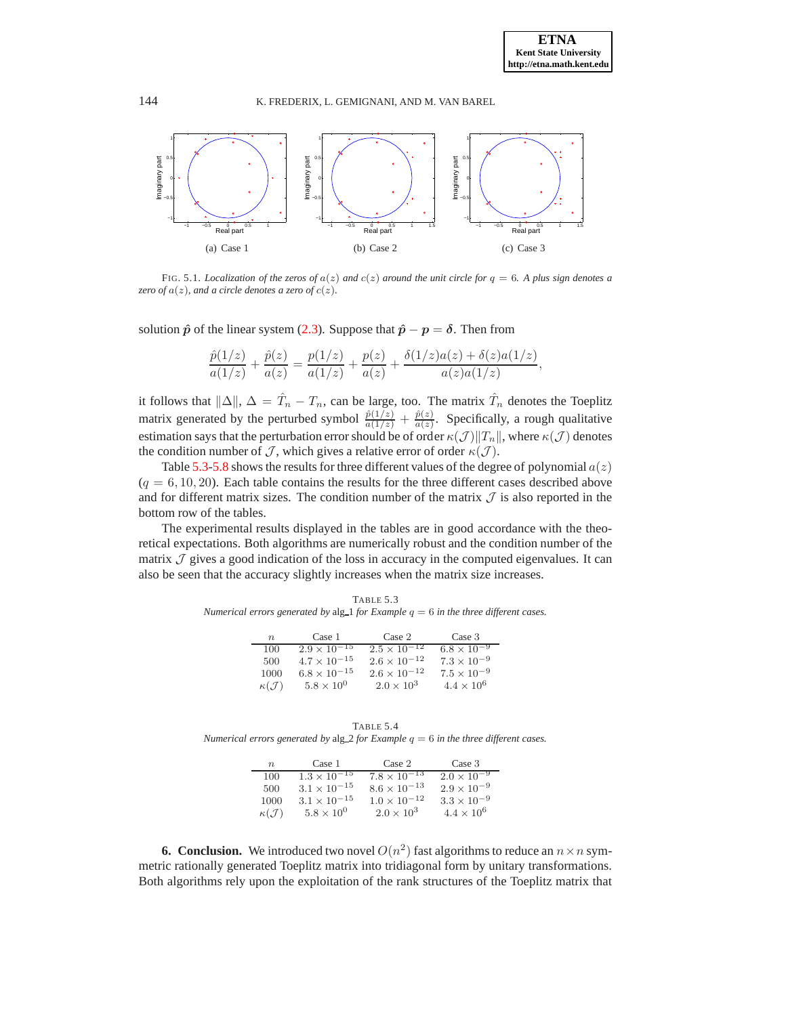<span id="page-15-1"></span>

<span id="page-15-3"></span><span id="page-15-2"></span>FIG. 5.1. *Localization of the zeros of*  $a(z)$  *and*  $c(z)$  *around the unit circle for*  $q = 6$ *. A plus sign denotes a zero of*  $a(z)$ *, and a circle denotes a zero of*  $c(z)$ *.* 

solution  $\hat{p}$  of the linear system [\(2.3\)](#page-2-0). Suppose that  $\hat{p} - p = \delta$ . Then from

$$
\frac{\hat{p}(1/z)}{a(1/z)} + \frac{\hat{p}(z)}{a(z)} = \frac{p(1/z)}{a(1/z)} + \frac{p(z)}{a(z)} + \frac{\delta(1/z)a(z) + \delta(z)a(1/z)}{a(z)a(1/z)},
$$

it follows that  $\|\Delta\|$ ,  $\Delta = \hat{T}_n - T_n$ , can be large, too. The matrix  $\hat{T}_n$  denotes the Toeplitz matrix generated by the perturbed symbol  $\frac{\hat{p}(1/z)}{a(1/z)} + \frac{\hat{p}(z)}{a(z)}$  $rac{p(z)}{a(z)}$ . Specifically, a rough qualitative estimation says that the perturbation error should be of order  $\kappa(\mathcal{J})||T_n||$ , where  $\kappa(\mathcal{J})$  denotes the condition number of  $\mathcal J$ , which gives a relative error of order  $\kappa(\mathcal J)$ .

Table [5.3](#page-15-4)[-5.8](#page-16-7) shows the results for three different values of the degree of polynomial  $a(z)$  $(q = 6, 10, 20)$ . Each table contains the results for the three different cases described above and for different matrix sizes. The condition number of the matrix  $J$  is also reported in the bottom row of the tables.

The experimental results displayed in the tables are in good accordance with the theoretical expectations. Both algorithms are numerically robust and the condition number of the matrix  $\mathcal I$  gives a good indication of the loss in accuracy in the computed eigenvalues. It can also be seen that the accuracy slightly increases when the matrix size increases.

<span id="page-15-4"></span>TABLE 5.3 *Numerical errors generated by* alg\_1 *for Example*  $q = 6$  *in the three different cases.* 

| $\boldsymbol{n}$      | Case 1                | Case 2                | Case 3               |
|-----------------------|-----------------------|-----------------------|----------------------|
| 100                   | $2.9 \times 10^{-15}$ | $2.5 \times 10^{-12}$ | $6.8 \times 10^{-9}$ |
| 500                   | $4.7 \times 10^{-15}$ | $2.6 \times 10^{-12}$ | $7.3 \times 10^{-9}$ |
| 1000                  | $6.8 \times 10^{-15}$ | $2.6 \times 10^{-12}$ | $7.5 \times 10^{-9}$ |
| $\kappa(\mathcal{J})$ | $5.8 \times 10^{0}$   | $2.0 \times 10^3$     | $4.4 \times 10^{6}$  |

TABLE 5.4

*Numerical errors generated by*  $alg_2$  *for Example*  $q = 6$  *in the three different cases.* 

| $n_{\cdot}$           | Case 1                | Case 2                           | Case 3               |
|-----------------------|-----------------------|----------------------------------|----------------------|
| 100                   | $1.3 \times 10^{-15}$ | $7.8 \times \overline{10^{-13}}$ | $2.0 \times 10^{-9}$ |
| 500                   | $3.1 \times 10^{-15}$ | $8.6 \times 10^{-13}$            | $2.9 \times 10^{-9}$ |
| 1000                  | $3.1 \times 10^{-15}$ | $1.0 \times 10^{-12}$            | $3.3 \times 10^{-9}$ |
| $\kappa(\mathcal{J})$ | $5.8 \times 10^{0}$   | $2.0 \times 10^3$                | $4.4 \times 10^{6}$  |

<span id="page-15-0"></span>**6. Conclusion.** We introduced two novel  $O(n^2)$  fast algorithms to reduce an  $n \times n$  symmetric rationally generated Toeplitz matrix into tridiagonal form by unitary transformations. Both algorithms rely upon the exploitation of the rank structures of the Toeplitz matrix that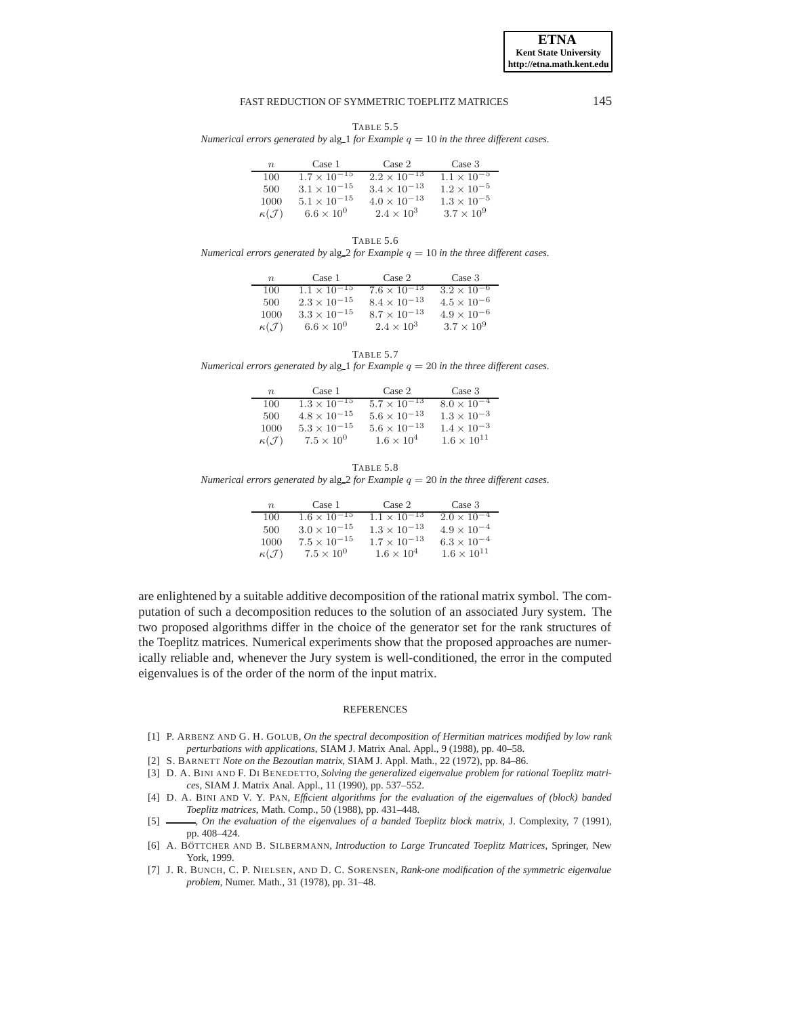**ETNA Kent State University http://etna.math.kent.edu**

### FAST REDUCTION OF SYMMETRIC TOEPLITZ MATRICES 145

TABLE 5.5

*Numerical errors generated by* alg<sub>1</sub> *for Example*  $q = 10$  *in the three different cases.* 

| $n_{\rm}$             | Case 1                | Case 2                | Case 3               |
|-----------------------|-----------------------|-----------------------|----------------------|
| 100                   | $1.7 \times 10^{-15}$ | $2.2 \times 10^{-13}$ | $1.1 \times 10^{-5}$ |
| 500                   | $3.1 \times 10^{-15}$ | $3.4 \times 10^{-13}$ | $1.2 \times 10^{-5}$ |
| 1000                  | $5.1 \times 10^{-15}$ | $4.0 \times 10^{-13}$ | $1.3 \times 10^{-5}$ |
| $\kappa(\mathcal{J})$ | $6.6 \times 10^{0}$   | $2.4 \times 10^{3}$   | $3.7 \times 10^9$    |

TABLE 5.6

*Numerical errors generated by* alg  $2$  *for Example*  $q = 10$  *in the three different cases.* 

| $n_{\rm c}$           | Case 1                | Case 2                | Case 3               |
|-----------------------|-----------------------|-----------------------|----------------------|
| 100                   | $1.1 \times 10^{-15}$ | $7.6 \times 10^{-13}$ | $3.2 \times 10^{-6}$ |
| 500                   | $2.3 \times 10^{-15}$ | $8.4 \times 10^{-13}$ | $4.5 \times 10^{-6}$ |
| 1000                  | $3.3 \times 10^{-15}$ | $8.7 \times 10^{-13}$ | $4.9 \times 10^{-6}$ |
| $\kappa(\mathcal{J})$ | $6.6 \times 10^{0}$   | $2.4 \times 10^{3}$   | $3.7 \times 10^{9}$  |

TABLE 5.7

*Numerical errors generated by* alg<sub>1</sub> *for Example*  $q = 20$  *in the three different cases.* 

| $n_{\rm}$             | Case 1                | Case 2                | Case 3               |
|-----------------------|-----------------------|-----------------------|----------------------|
| 100                   | $1.3 \times 10^{-15}$ | $5.7 \times 10^{-13}$ | $8.0 \times 10^{-4}$ |
| 500                   | $4.8 \times 10^{-15}$ | $5.6 \times 10^{-13}$ | $1.3 \times 10^{-3}$ |
| 1000                  | $5.3 \times 10^{-15}$ | $5.6 \times 10^{-13}$ | $1.4 \times 10^{-3}$ |
| $\kappa(\mathcal{J})$ | $7.5 \times 10^{0}$   | $1.6 \times 10^4$     | $1.6 \times 10^{11}$ |

<span id="page-16-7"></span>TABLE 5.8 *Numerical errors generated by* alg<sub>22</sub> *for Example*  $q = 20$  *in the three different cases.* 

| $n_{\rm c}$           | Case 1                | Case 2                | Case 3               |
|-----------------------|-----------------------|-----------------------|----------------------|
| 100                   | $1.6 \times 10^{-15}$ | $1.1 \times 10^{-13}$ | $2.0 \times 10^{-4}$ |
| 500                   | $3.0 \times 10^{-15}$ | $1.3 \times 10^{-13}$ | $4.9 \times 10^{-4}$ |
| 1000                  | $7.5 \times 10^{-15}$ | $1.7 \times 10^{-13}$ | $6.3 \times 10^{-4}$ |
| $\kappa(\mathcal{J})$ | $7.5 \times 10^{0}$   | $1.6 \times 10^{4}$   | $1.6 \times 10^{11}$ |

are enlightened by a suitable additive decomposition of the rational matrix symbol. The computation of such a decomposition reduces to the solution of an associated Jury system. The two proposed algorithms differ in the choice of the generator set for the rank structures of the Toeplitz matrices. Numerical experiments show that the proposed approaches are numerically reliable and, whenever the Jury system is well-conditioned, the error in the computed eigenvalues is of the order of the norm of the input matrix.

#### **REFERENCES**

- <span id="page-16-4"></span>[1] P. ARBENZ AND G. H. GOLUB, *On the spectral decomposition of Hermitian matrices modified by low rank perturbations with applications*, SIAM J. Matrix Anal. Appl., 9 (1988), pp. 40–58.
- <span id="page-16-6"></span><span id="page-16-2"></span>[2] S. BARNETT *Note on the Bezoutian matrix*, SIAM J. Appl. Math., 22 (1972), pp. 84–86.
- [3] D. A. BINI AND F. DI BENEDETTO, *Solving the generalized eigenvalue problem for rational Toeplitz matrices*, SIAM J. Matrix Anal. Appl., 11 (1990), pp. 537–552.
- <span id="page-16-1"></span>[4] D. A. BINI AND V. Y. PAN, *Efficient algorithms for the evaluation of the eigenvalues of (block) banded Toeplitz matrices*, Math. Comp., 50 (1988), pp. 431–448.
- <span id="page-16-3"></span>[5]  $\longrightarrow$ , *On the evaluation of the eigenvalues of a banded Toeplitz block matrix*, J. Complexity, 7 (1991), pp. 408–424.
- <span id="page-16-0"></span>[6] A. BÖTTCHER AND B. SILBERMANN, *Introduction to Large Truncated Toeplitz Matrices*, Springer, New York, 1999.
- <span id="page-16-5"></span>[7] J. R. BUNCH, C. P. NIELSEN, AND D. C. SORENSEN, *Rank-one modification of the symmetric eigenvalue problem*, Numer. Math., 31 (1978), pp. 31–48.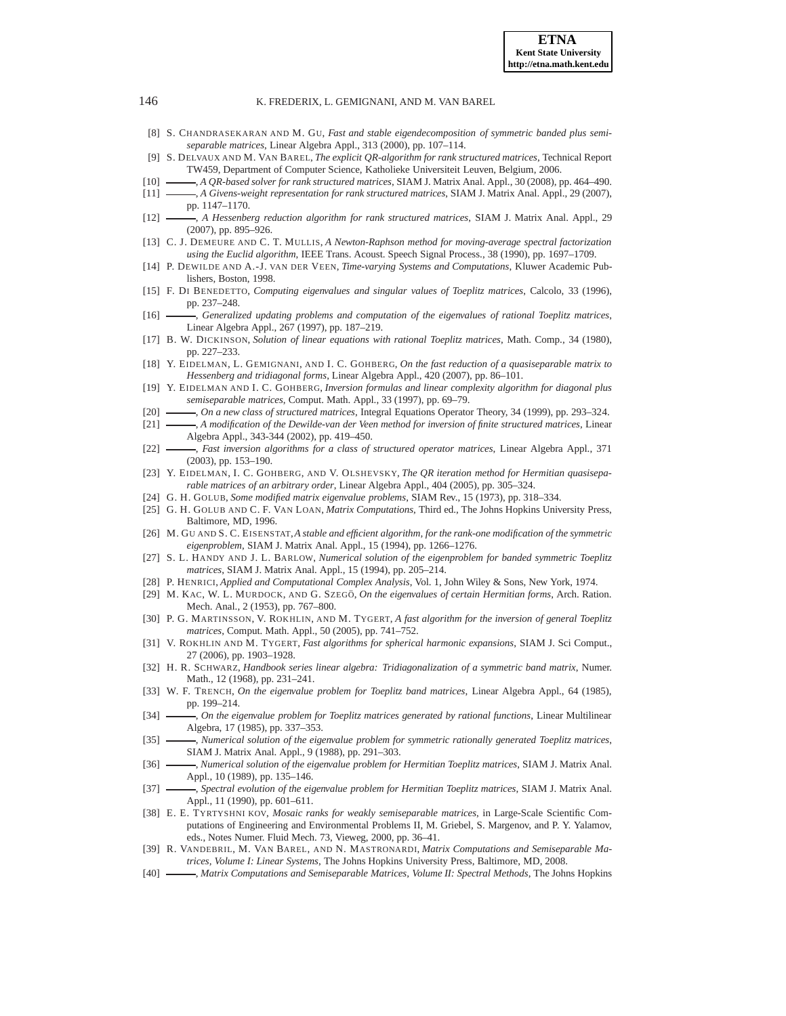- [8] S. CHANDRASEKARAN AND M. GU, *Fast and stable eigendecomposition of symmetric banded plus semiseparable matrices*, Linear Algebra Appl., 313 (2000), pp. 107–114.
- <span id="page-17-29"></span>[9] S. DELVAUX AND M. VAN BAREL, *The explicit QR-algorithm for rank structured matrices*, Technical Report TW459, Department of Computer Science, Katholieke Universiteit Leuven, Belgium, 2006.
- <span id="page-17-27"></span><span id="page-17-26"></span>[10] , *A QR-based solver for rank structured matrices*, SIAM J. Matrix Anal. Appl., 30 (2008), pp. 464–490.
- [11] , *A Givens-weight representation for rank structured matrices*, SIAM J. Matrix Anal. Appl., 29 (2007), pp. 1147–1170.
- <span id="page-17-22"></span>[12] , *A Hessenberg reduction algorithm for rank structured matrices*, SIAM J. Matrix Anal. Appl., 29 (2007), pp. 895–926.
- <span id="page-17-25"></span>[13] C. J. DEMEURE AND C. T. MULLIS, *A Newton-Raphson method for moving-average spectral factorization using the Euclid algorithm*, IEEE Trans. Acoust. Speech Signal Process., 38 (1990), pp. 1697–1709.
- <span id="page-17-14"></span><span id="page-17-6"></span>[14] P. DEWILDE AND A.-J. VAN DER VEEN, *Time-varying Systems and Computations*, Kluwer Academic Publishers, Boston, 1998.
- [15] F. DI BENEDETTO, *Computing eigenvalues and singular values of Toeplitz matrices*, Calcolo, 33 (1996), pp. 237–248.
- <span id="page-17-24"></span>[16] , *Generalized updating problems and computation of the eigenvalues of rational Toeplitz matrices*, Linear Algebra Appl., 267 (1997), pp. 187–219.
- <span id="page-17-30"></span>[17] B. W. DICKINSON, *Solution of linear equations with rational Toeplitz matrices*, Math. Comp., 34 (1980), pp. 227–233.
- <span id="page-17-21"></span>[18] Y. EIDELMAN, L. GEMIGNANI, AND I. C. GOHBERG, *On the fast reduction of a quasiseparable matrix to Hessenberg and tridiagonal forms*, Linear Algebra Appl., 420 (2007), pp. 86–101.
- <span id="page-17-10"></span>[19] Y. EIDELMAN AND I. C. GOHBERG, *Inversion formulas and linear complexity algorithm for diagonal plus semiseparable matrices*, Comput. Math. Appl., 33 (1997), pp. 69–79.
- <span id="page-17-11"></span>[20] , *On a new class of structured matrices*, Integral Equations Operator Theory, 34 (1999), pp. 293–324.
- <span id="page-17-13"></span><span id="page-17-12"></span>[21] , *A modification of the Dewilde-van der Veen method for inversion of finite structured matrices*, Linear Algebra Appl., 343-344 (2002), pp. 419–450.
- [22] , *Fast inversion algorithms for a class of structured operator matrices*, Linear Algebra Appl., 371 (2003), pp. 153–190.
- <span id="page-17-28"></span>[23] Y. EIDELMAN, I. C. GOHBERG, AND V. OLSHEVSKY, *The QR iteration method for Hermitian quasiseparable matrices of an arbitrary order*, Linear Algebra Appl., 404 (2005), pp. 305–324.
- <span id="page-17-8"></span><span id="page-17-7"></span>[24] G. H. GOLUB, *Some modified matrix eigenvalue problems*, SIAM Rev., 15 (1973), pp. 318–334.
- [25] G. H. GOLUB AND C. F. VAN LOAN, *Matrix Computations*, Third ed., The Johns Hopkins University Press, Baltimore, MD, 1996.
- <span id="page-17-9"></span>[26] M. GU AND S. C. EISENSTAT,*A stable and efficient algorithm, for the rank-one modification of the symmetric eigenproblem*, SIAM J. Matrix Anal. Appl., 15 (1994), pp. 1266–1276.
- <span id="page-17-5"></span>[27] S. L. HANDY AND J. L. BARLOW, *Numerical solution of the eigenproblem for banded symmetric Toeplitz matrices*, SIAM J. Matrix Anal. Appl., 15 (1994), pp. 205–214.
- <span id="page-17-32"></span><span id="page-17-23"></span>[28] P. HENRICI, *Applied and Computational Complex Analysis*, Vol. 1, John Wiley & Sons, New York, 1974.
- [29] M. KAC, W. L. MURDOCK, AND G. SZEGÖ, *On the eigenvalues of certain Hermitian forms*, Arch. Ration. Mech. Anal., 2 (1953), pp. 767–800.
- <span id="page-17-18"></span>[30] P. G. MARTINSSON, V. ROKHLIN, AND M. TYGERT, *A fast algorithm for the inversion of general Toeplitz matrices*, Comput. Math. Appl., 50 (2005), pp. 741–752.
- <span id="page-17-19"></span>[31] V. ROKHLIN AND M. TYGERT, *Fast algorithms for spherical harmonic expansions*, SIAM J. Sci Comput., 27 (2006), pp. 1903–1928.
- <span id="page-17-31"></span>[32] H. R. SCHWARZ, *Handbook series linear algebra: Tridiagonalization of a symmetric band matrix*, Numer. Math., 12 (1968), pp. 231–241.
- <span id="page-17-4"></span>[33] W. F. TRENCH, *On the eigenvalue problem for Toeplitz band matrices*, Linear Algebra Appl., 64 (1985), pp. 199–214.
- <span id="page-17-3"></span>[34] , *On the eigenvalue problem for Toeplitz matrices generated by rational functions*, Linear Multilinear Algebra, 17 (1985), pp. 337–353.
- <span id="page-17-0"></span>[35] , *Numerical solution of the eigenvalue problem for symmetric rationally generated Toeplitz matrices*, SIAM J. Matrix Anal. Appl., 9 (1988), pp. 291–303.
- <span id="page-17-1"></span>[36] , *Numerical solution of the eigenvalue problem for Hermitian Toeplitz matrices*, SIAM J. Matrix Anal. Appl., 10 (1989), pp. 135–146.
- <span id="page-17-2"></span>[37] , *Spectral evolution of the eigenvalue problem for Hermitian Toeplitz matrices*, SIAM J. Matrix Anal. Appl., 11 (1990), pp. 601–611.
- <span id="page-17-15"></span>[38] E. E. TYRTYSHNI KOV, *Mosaic ranks for weakly semiseparable matrices*, in Large-Scale Scientific Computations of Engineering and Environmental Problems II, M. Griebel, S. Margenov, and P. Y. Yalamov, eds., Notes Numer. Fluid Mech. 73, Vieweg, 2000, pp. 36–41.
- <span id="page-17-16"></span>[39] R. VANDEBRIL, M. VAN BAREL, AND N. MASTRONARDI, *Matrix Computations and Semiseparable Matrices, Volume I: Linear Systems*, The Johns Hopkins University Press, Baltimore, MD, 2008.
- <span id="page-17-17"></span>[40] , *Matrix Computations and Semiseparable Matrices, Volume II: Spectral Methods*, The Johns Hopkins

<span id="page-17-20"></span>